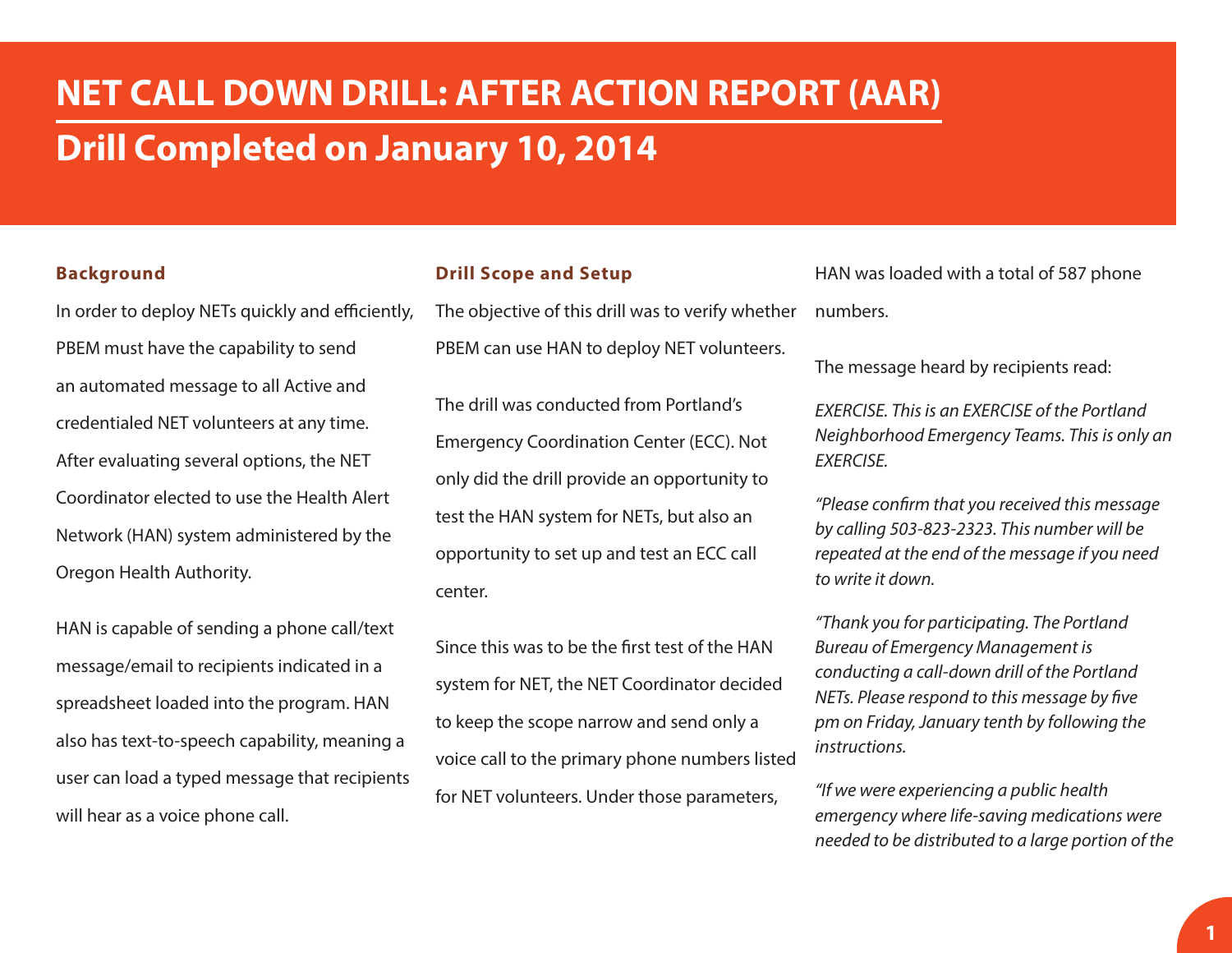# **NET CALL DOWN DRILL: AFTER ACTION REPORT (AAR) Drill Completed on January 10, 2014**

#### **Background**

In order to deploy NETs quickly and efficiently, PBEM must have the capability to send an automated message to all Active and credentialed NET volunteers at any time. After evaluating several options, the NET Coordinator elected to use the Health Alert Network (HAN) system administered by the Oregon Health Authority.

HAN is capable of sending a phone call/text message/email to recipients indicated in a spreadsheet loaded into the program. HAN also has text-to-speech capability, meaning a user can load a typed message that recipients will hear as a voice phone call.

#### **Drill Scope and Setup**

The objective of this drill was to verify whether PBEM can use HAN to deploy NET volunteers.

The drill was conducted from Portland's Emergency Coordination Center (ECC). Not only did the drill provide an opportunity to test the HAN system for NETs, but also an opportunity to set up and test an ECC call center.

Since this was to be the first test of the HAN system for NET, the NET Coordinator decided to keep the scope narrow and send only a voice call to the primary phone numbers listed for NET volunteers. Under those parameters,

HAN was loaded with a total of 587 phone numbers.

The message heard by recipients read:

*EXERCISE. This is an EXERCISE of the Portland Neighborhood Emergency Teams. This is only an EXERCISE.*

*"Please confirm that you received this message by calling 503-823-2323. This number will be repeated at the end of the message if you need to write it down.* 

*"Thank you for participating. The Portland Bureau of Emergency Management is conducting a call-down drill of the Portland NETs. Please respond to this message by five pm on Friday, January tenth by following the instructions.*

*"If we were experiencing a public health emergency where life-saving medications were needed to be distributed to a large portion of the*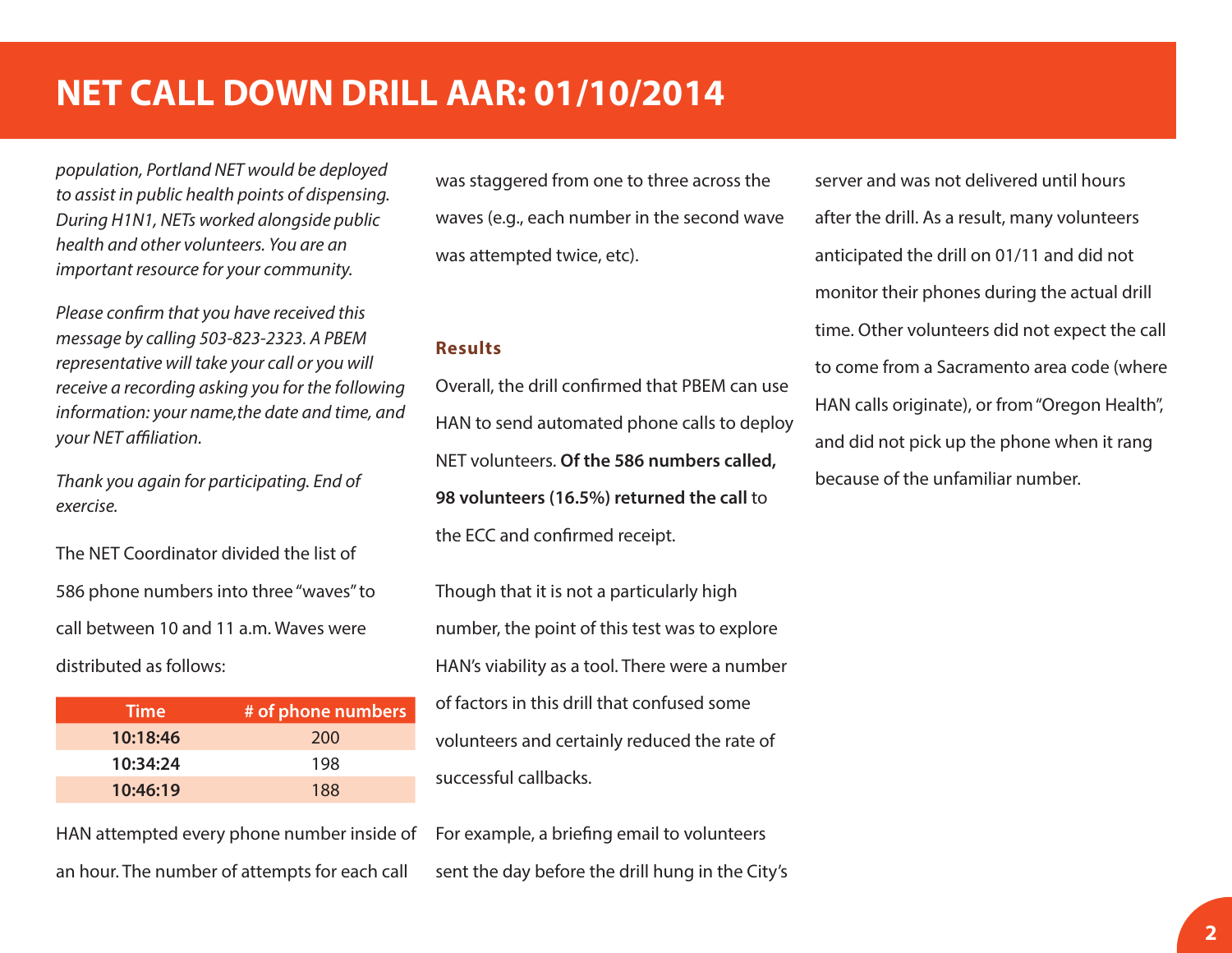## **NET CALL DOWN DRILL AAR: 01/10/2014**

*population, Portland NET would be deployed to assist in public health points of dispensing. During H1N1, NETs worked alongside public health and other volunteers. You are an important resource for your community.*

*Please confirm that you have received this message by calling 503-823-2323. A PBEM representative will take your call or you will receive a recording asking you for the following information: your name,the date and time, and your NET affiliation.*

*Thank you again for participating. End of exercise.*

The NET Coordinator divided the list of 586 phone numbers into three "waves" to call between 10 and 11 a.m. Waves were distributed as follows:

| <b>Time</b> | # of phone numbers |
|-------------|--------------------|
| 10:18:46    | 200                |
| 10:34:24    | 198                |
| 10:46:19    | 188                |

was staggered from one to three across the waves (e.g., each number in the second wave was attempted twice, etc).

#### **Results**

Overall, the drill confirmed that PBEM can use HAN to send automated phone calls to deploy NET volunteers. **Of the 586 numbers called, 98 volunteers (16.5%) returned the call** to the ECC and confirmed receipt.

Though that it is not a particularly high number, the point of this test was to explore HAN's viability as a tool. There were a number of factors in this drill that confused some volunteers and certainly reduced the rate of successful callbacks.

HAN attempted every phone number inside of an hour. The number of attempts for each call

For example, a briefing email to volunteers sent the day before the drill hung in the City's server and was not delivered until hours after the drill. As a result, many volunteers anticipated the drill on 01/11 and did not monitor their phones during the actual drill time. Other volunteers did not expect the call to come from a Sacramento area code (where HAN calls originate), or from "Oregon Health", and did not pick up the phone when it rang because of the unfamiliar number.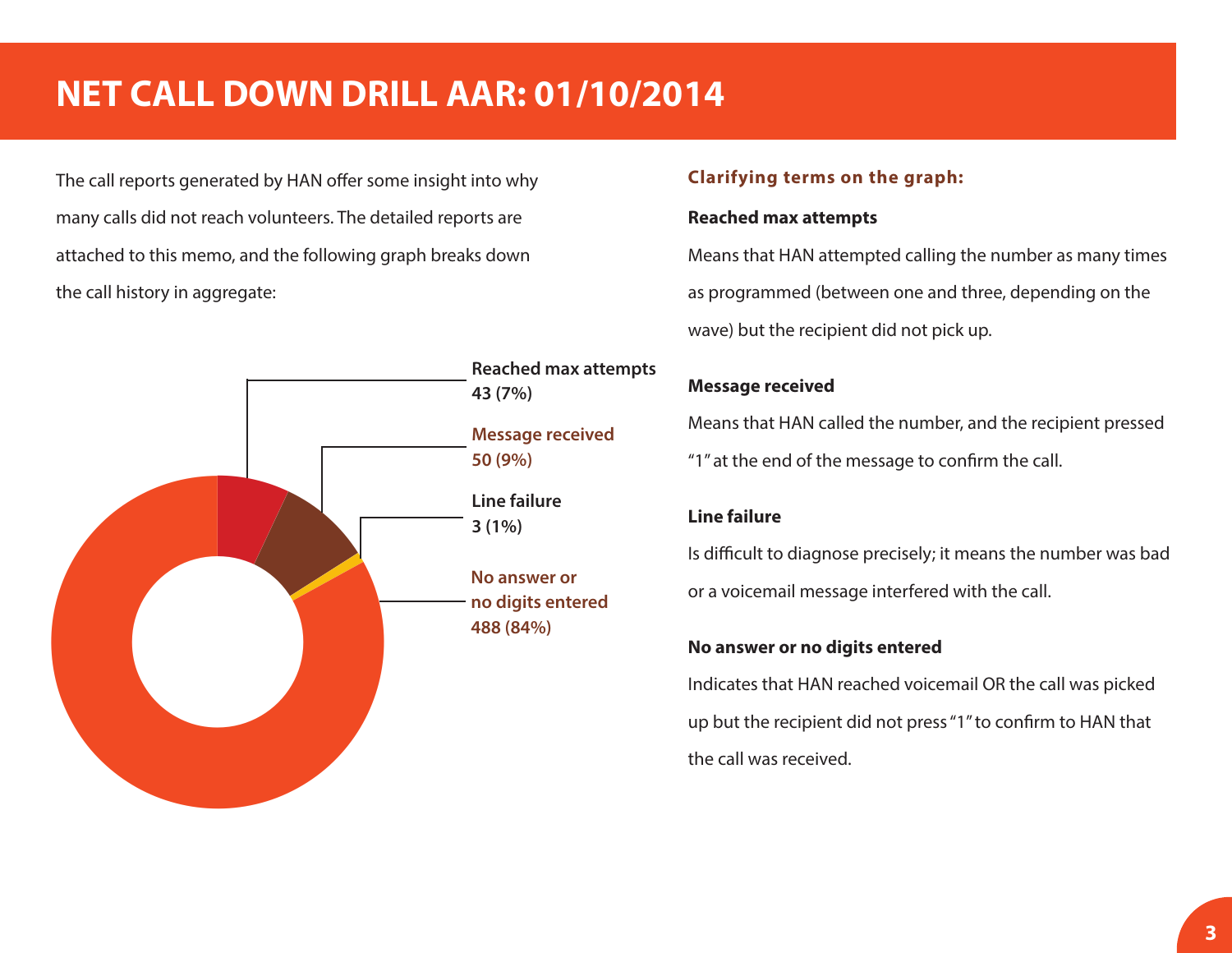# **NET CALL DOWN DRILL AAR: 01/10/2014**

The call reports generated by HAN offer some insight into why many calls did not reach volunteers. The detailed reports are attached to this memo, and the following graph breaks down the call history in aggregate:



#### **Clarifying terms on the graph:**

#### **Reached max attempts**

Means that HAN attempted calling the number as many times as programmed (between one and three, depending on the wave) but the recipient did not pick up.

### **Message received**

Means that HAN called the number, and the recipient pressed "1" at the end of the message to confirm the call.

### **Line failure**

Is difficult to diagnose precisely; it means the number was bad or a voicemail message interfered with the call.

### **No answer or no digits entered**

Indicates that HAN reached voicemail OR the call was picked up but the recipient did not press "1" to confirm to HAN that the call was received.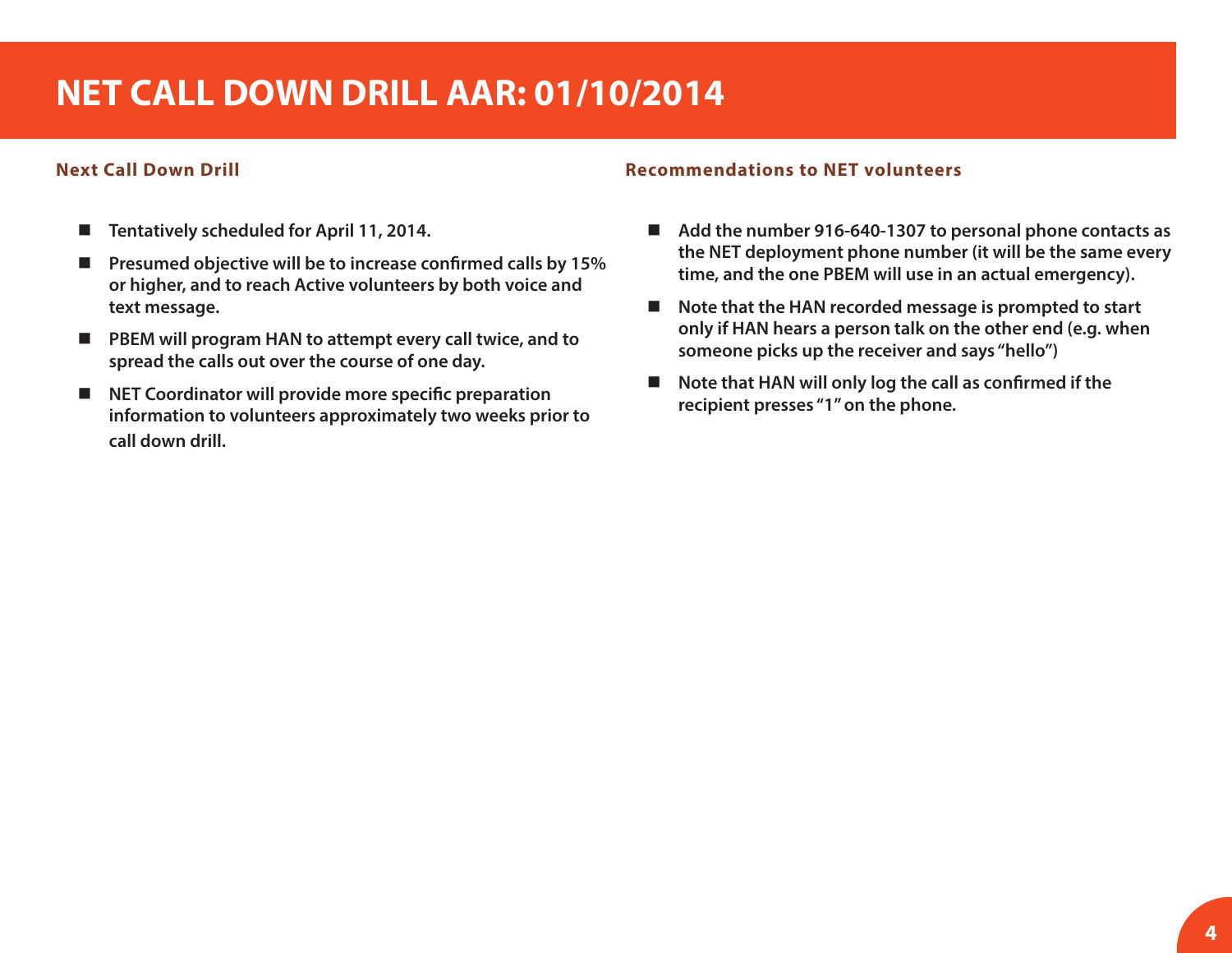# **NET CALL DOWN DRILL AAR: 01/10/2014**

#### **Next Call Down Drill**

- Tentatively scheduled for April 11, 2014.
- **Presumed objective will be to increase confirmed calls by 15% or higher, and to reach Active volunteers by both voice and text message.**
- PBEM will program HAN to attempt every call twice, and to **spread the calls out over the course of one day.**
- **NET Coordinator will provide more specific preparation information to volunteers approximately two weeks prior to call down drill.**

#### **Recommendations to NET volunteers**

- Add the number 916-640-1307 to personal phone contacts as **the NET deployment phone number (it will be the same every time, and the one PBEM will use in an actual emergency).**
- Note that the HAN recorded message is prompted to start **only if HAN hears a person talk on the other end (e.g. when someone picks up the receiver and says "hello")**
- Note that HAN will only log the call as confirmed if the **recipient presses "1" on the phone.**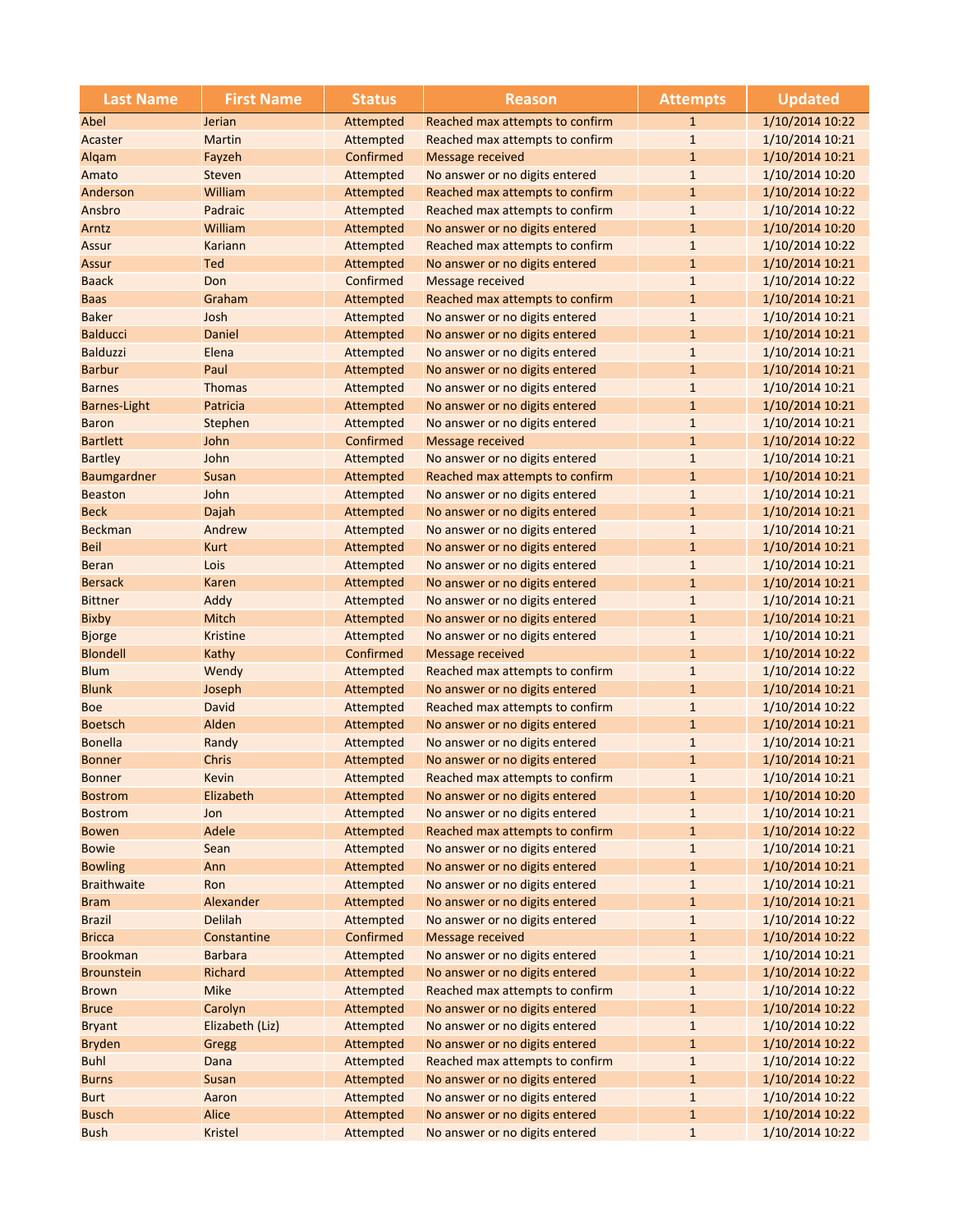| <b>Last Name</b>    | <b>First Name</b> | <b>Status</b> | <b>Reason</b>                   | <b>Attempts</b> | <b>Updated</b>  |
|---------------------|-------------------|---------------|---------------------------------|-----------------|-----------------|
| Abel                | Jerian            | Attempted     | Reached max attempts to confirm | $\mathbf{1}$    | 1/10/2014 10:22 |
| Acaster             | Martin            | Attempted     | Reached max attempts to confirm | $1\,$           | 1/10/2014 10:21 |
| Algam               | Fayzeh            | Confirmed     | Message received                | $\mathbf{1}$    | 1/10/2014 10:21 |
| Amato               | Steven            | Attempted     | No answer or no digits entered  | $\mathbf{1}$    | 1/10/2014 10:20 |
| Anderson            | William           | Attempted     | Reached max attempts to confirm | $\mathbf{1}$    | 1/10/2014 10:22 |
| Ansbro              | Padraic           | Attempted     | Reached max attempts to confirm | $\mathbf{1}$    | 1/10/2014 10:22 |
| Arntz               | William           | Attempted     | No answer or no digits entered  | $1\,$           | 1/10/2014 10:20 |
| Assur               | Kariann           | Attempted     | Reached max attempts to confirm | $\mathbf{1}$    | 1/10/2014 10:22 |
| Assur               | Ted               | Attempted     | No answer or no digits entered  | $\mathbf{1}$    | 1/10/2014 10:21 |
| <b>Baack</b>        | Don               | Confirmed     | Message received                | $1\,$           | 1/10/2014 10:22 |
| <b>Baas</b>         | Graham            | Attempted     | Reached max attempts to confirm | $1\,$           | 1/10/2014 10:21 |
| <b>Baker</b>        | Josh              | Attempted     | No answer or no digits entered  | $1\,$           | 1/10/2014 10:21 |
| <b>Balducci</b>     | Daniel            | Attempted     | No answer or no digits entered  | $1\,$           | 1/10/2014 10:21 |
| <b>Balduzzi</b>     | Elena             | Attempted     | No answer or no digits entered  | $\mathbf{1}$    | 1/10/2014 10:21 |
| <b>Barbur</b>       | Paul              | Attempted     | No answer or no digits entered  | $\mathbf{1}$    | 1/10/2014 10:21 |
| <b>Barnes</b>       | <b>Thomas</b>     | Attempted     | No answer or no digits entered  | $1\,$           | 1/10/2014 10:21 |
| <b>Barnes-Light</b> | Patricia          | Attempted     | No answer or no digits entered  | $1\,$           | 1/10/2014 10:21 |
| <b>Baron</b>        | Stephen           | Attempted     | No answer or no digits entered  | $\mathbf{1}$    | 1/10/2014 10:21 |
| <b>Bartlett</b>     | John              | Confirmed     | Message received                | $\mathbf{1}$    | 1/10/2014 10:22 |
| <b>Bartley</b>      | John              | Attempted     | No answer or no digits entered  | $\mathbf 1$     | 1/10/2014 10:21 |
| Baumgardner         | <b>Susan</b>      | Attempted     | Reached max attempts to confirm | $1\,$           | 1/10/2014 10:21 |
| <b>Beaston</b>      | John              | Attempted     | No answer or no digits entered  | $1\,$           | 1/10/2014 10:21 |
| <b>Beck</b>         | Dajah             | Attempted     | No answer or no digits entered  | $\mathbf{1}$    | 1/10/2014 10:21 |
| <b>Beckman</b>      | Andrew            | Attempted     | No answer or no digits entered  | $\mathbf{1}$    | 1/10/2014 10:21 |
| <b>Beil</b>         | <b>Kurt</b>       | Attempted     | No answer or no digits entered  | $\mathbf{1}$    | 1/10/2014 10:21 |
| <b>Beran</b>        | Lois              | Attempted     | No answer or no digits entered  | $\mathbf{1}$    | 1/10/2014 10:21 |
| <b>Bersack</b>      | Karen             | Attempted     | No answer or no digits entered  | $1\,$           | 1/10/2014 10:21 |
| <b>Bittner</b>      | Addy              | Attempted     | No answer or no digits entered  | $\mathbf{1}$    | 1/10/2014 10:21 |
| <b>Bixby</b>        | Mitch             | Attempted     | No answer or no digits entered  | $\mathbf{1}$    | 1/10/2014 10:21 |
| <b>Bjorge</b>       | <b>Kristine</b>   | Attempted     | No answer or no digits entered  | $1\,$           | 1/10/2014 10:21 |
| <b>Blondell</b>     | Kathy             | Confirmed     | Message received                | $1\,$           | 1/10/2014 10:22 |
| <b>Blum</b>         | Wendy             | Attempted     | Reached max attempts to confirm | $1\,$           | 1/10/2014 10:22 |
| <b>Blunk</b>        | Joseph            | Attempted     | No answer or no digits entered  | $\mathbf{1}$    | 1/10/2014 10:21 |
| <b>Boe</b>          | David             | Attempted     | Reached max attempts to confirm | $\mathbf{1}$    | 1/10/2014 10:22 |
| <b>Boetsch</b>      | Alden             | Attempted     | No answer or no digits entered  | $\mathbf{1}$    | 1/10/2014 10:21 |
| <b>Bonella</b>      | Randy             | Attempted     | No answer or no digits entered  | $\mathbf{1}$    | 1/10/2014 10:21 |
| <b>Bonner</b>       | <b>Chris</b>      | Attempted     | No answer or no digits entered  | $\mathbf{1}$    | 1/10/2014 10:21 |
| <b>Bonner</b>       | Kevin             | Attempted     | Reached max attempts to confirm | $\mathbf{1}$    | 1/10/2014 10:21 |
| <b>Bostrom</b>      | Elizabeth         | Attempted     | No answer or no digits entered  | $\mathbf{1}$    | 1/10/2014 10:20 |
| <b>Bostrom</b>      | Jon               | Attempted     | No answer or no digits entered  | $1\,$           | 1/10/2014 10:21 |
| <b>Bowen</b>        | Adele             | Attempted     | Reached max attempts to confirm | $1\,$           | 1/10/2014 10:22 |
| <b>Bowie</b>        | Sean              | Attempted     | No answer or no digits entered  | $\mathbf 1$     | 1/10/2014 10:21 |
| <b>Bowling</b>      | Ann               | Attempted     | No answer or no digits entered  | $1\,$           | 1/10/2014 10:21 |
| <b>Braithwaite</b>  | Ron               | Attempted     | No answer or no digits entered  | $1\,$           | 1/10/2014 10:21 |
| <b>Bram</b>         | Alexander         | Attempted     | No answer or no digits entered  | $1\,$           | 1/10/2014 10:21 |
| <b>Brazil</b>       | <b>Delilah</b>    | Attempted     | No answer or no digits entered  | $1\,$           | 1/10/2014 10:22 |
| <b>Bricca</b>       | Constantine       | Confirmed     | <b>Message received</b>         | $\mathbf 1$     | 1/10/2014 10:22 |
| <b>Brookman</b>     | <b>Barbara</b>    | Attempted     | No answer or no digits entered  | $\mathbf 1$     | 1/10/2014 10:21 |
| <b>Brounstein</b>   | <b>Richard</b>    | Attempted     | No answer or no digits entered  | $\mathbf{1}$    | 1/10/2014 10:22 |
| <b>Brown</b>        | <b>Mike</b>       | Attempted     | Reached max attempts to confirm | $\mathbf 1$     | 1/10/2014 10:22 |
| <b>Bruce</b>        | Carolyn           | Attempted     | No answer or no digits entered  | $\mathbf 1$     | 1/10/2014 10:22 |
| <b>Bryant</b>       | Elizabeth (Liz)   | Attempted     | No answer or no digits entered  | $\mathbf 1$     | 1/10/2014 10:22 |
| <b>Bryden</b>       | Gregg             | Attempted     | No answer or no digits entered  | $1\,$           | 1/10/2014 10:22 |
| <b>Buhl</b>         | Dana              | Attempted     | Reached max attempts to confirm | $1\,$           | 1/10/2014 10:22 |
| <b>Burns</b>        | Susan             | Attempted     | No answer or no digits entered  | $1\,$           | 1/10/2014 10:22 |
| <b>Burt</b>         | Aaron             | Attempted     | No answer or no digits entered  | $\mathbf{1}$    | 1/10/2014 10:22 |
| <b>Busch</b>        | Alice             | Attempted     | No answer or no digits entered  | $\mathbf 1$     | 1/10/2014 10:22 |
| <b>Bush</b>         | <b>Kristel</b>    | Attempted     | No answer or no digits entered  | $1\,$           | 1/10/2014 10:22 |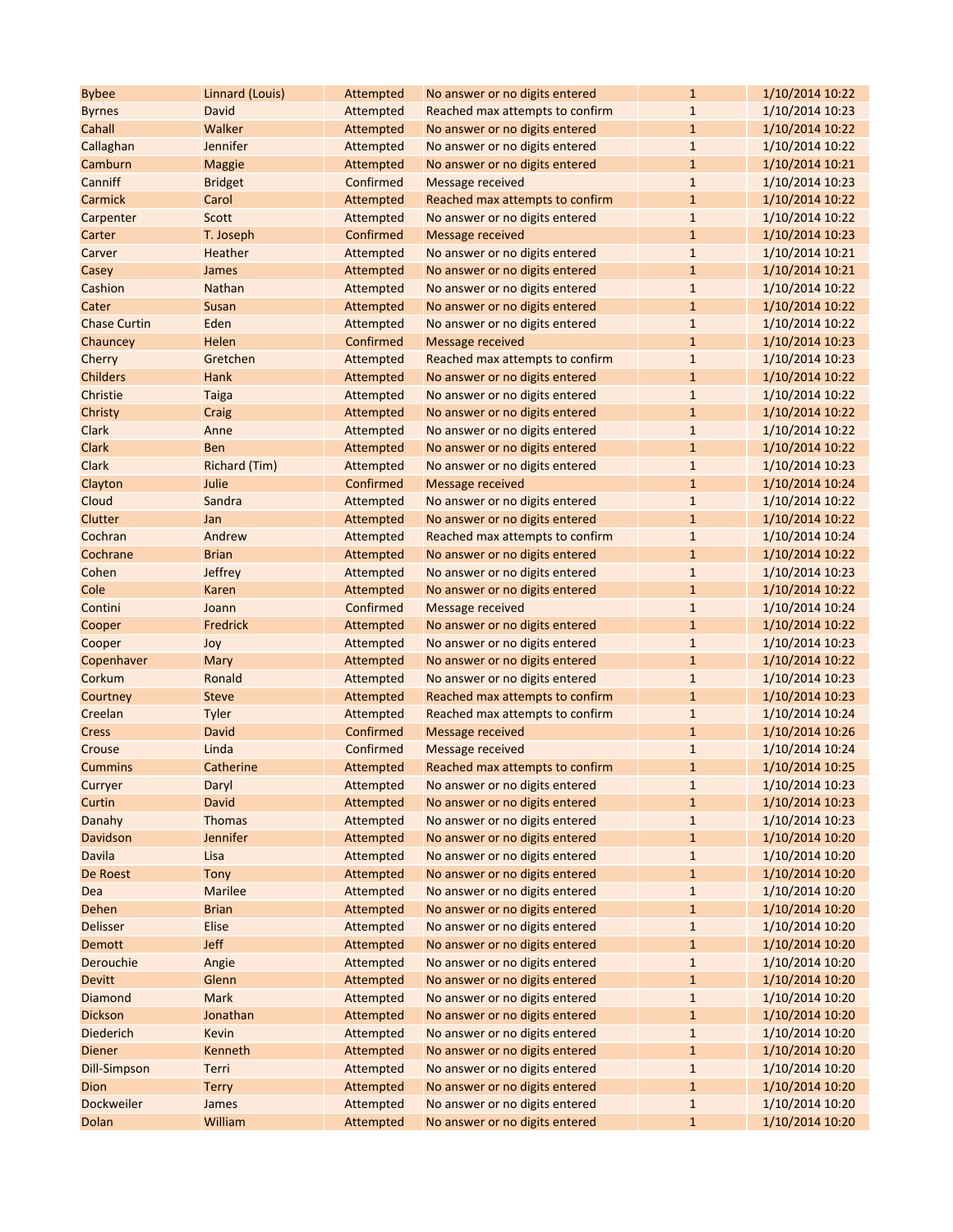| <b>Bybee</b>        | Linnard (Louis) | Attempted | No answer or no digits entered  | $\mathbf{1}$ | 1/10/2014 10:22 |
|---------------------|-----------------|-----------|---------------------------------|--------------|-----------------|
| <b>Byrnes</b>       | David           | Attempted | Reached max attempts to confirm | $\mathbf{1}$ | 1/10/2014 10:23 |
| Cahall              | Walker          | Attempted | No answer or no digits entered  | $\mathbf{1}$ | 1/10/2014 10:22 |
| Callaghan           | <b>Jennifer</b> | Attempted | No answer or no digits entered  | $\mathbf{1}$ | 1/10/2014 10:22 |
| Camburn             | <b>Maggie</b>   | Attempted | No answer or no digits entered  | $\mathbf{1}$ | 1/10/2014 10:21 |
| Canniff             | <b>Bridget</b>  | Confirmed | <b>Message received</b>         | $\mathbf{1}$ | 1/10/2014 10:23 |
| Carmick             | Carol           | Attempted | Reached max attempts to confirm | $\mathbf{1}$ | 1/10/2014 10:22 |
| Carpenter           | Scott           | Attempted | No answer or no digits entered  | $\mathbf{1}$ | 1/10/2014 10:22 |
| Carter              | T. Joseph       | Confirmed | <b>Message received</b>         | $\mathbf{1}$ | 1/10/2014 10:23 |
| Carver              | Heather         | Attempted | No answer or no digits entered  | $\mathbf{1}$ | 1/10/2014 10:21 |
| Casey               | <b>James</b>    | Attempted | No answer or no digits entered  | $\mathbf{1}$ | 1/10/2014 10:21 |
| Cashion             | <b>Nathan</b>   | Attempted | No answer or no digits entered  | $\mathbf{1}$ | 1/10/2014 10:22 |
| Cater               | <b>Susan</b>    | Attempted | No answer or no digits entered  | $\mathbf{1}$ | 1/10/2014 10:22 |
| <b>Chase Curtin</b> | Eden            | Attempted | No answer or no digits entered  | $\mathbf{1}$ | 1/10/2014 10:22 |
| Chauncey            | Helen           | Confirmed | <b>Message received</b>         | $\mathbf{1}$ | 1/10/2014 10:23 |
| Cherry              | Gretchen        | Attempted | Reached max attempts to confirm | $\mathbf{1}$ | 1/10/2014 10:23 |
| <b>Childers</b>     | Hank            | Attempted | No answer or no digits entered  | $\mathbf{1}$ | 1/10/2014 10:22 |
| Christie            | <b>Taiga</b>    | Attempted | No answer or no digits entered  | $\mathbf{1}$ | 1/10/2014 10:22 |
| Christy             | Craig           | Attempted | No answer or no digits entered  | $\mathbf{1}$ | 1/10/2014 10:22 |
| Clark               | Anne            | Attempted | No answer or no digits entered  | $\mathbf{1}$ | 1/10/2014 10:22 |
| <b>Clark</b>        | <b>Ben</b>      | Attempted | No answer or no digits entered  | $\mathbf{1}$ | 1/10/2014 10:22 |
| Clark               | Richard (Tim)   | Attempted | No answer or no digits entered  | $\mathbf{1}$ | 1/10/2014 10:23 |
| Clayton             | Julie           | Confirmed | Message received                | $\mathbf{1}$ | 1/10/2014 10:24 |
| Cloud               | Sandra          | Attempted | No answer or no digits entered  | $\mathbf{1}$ | 1/10/2014 10:22 |
| Clutter             | Jan             | Attempted | No answer or no digits entered  | $\mathbf{1}$ | 1/10/2014 10:22 |
| Cochran             | Andrew          | Attempted | Reached max attempts to confirm | $\mathbf{1}$ | 1/10/2014 10:24 |
| Cochrane            | <b>Brian</b>    | Attempted | No answer or no digits entered  | $\mathbf{1}$ | 1/10/2014 10:22 |
| Cohen               | <b>Jeffrey</b>  | Attempted | No answer or no digits entered  | $\mathbf{1}$ | 1/10/2014 10:23 |
| Cole                | Karen           | Attempted | No answer or no digits entered  | $\mathbf{1}$ | 1/10/2014 10:22 |
| Contini             | Joann           | Confirmed | Message received                | $\mathbf{1}$ | 1/10/2014 10:24 |
| Cooper              | Fredrick        | Attempted | No answer or no digits entered  | $\mathbf{1}$ | 1/10/2014 10:22 |
| Cooper              | Joy             | Attempted | No answer or no digits entered  | $\mathbf{1}$ | 1/10/2014 10:23 |
| Copenhaver          | Mary            | Attempted | No answer or no digits entered  | $\mathbf{1}$ | 1/10/2014 10:22 |
| Corkum              | Ronald          | Attempted | No answer or no digits entered  | $\mathbf{1}$ | 1/10/2014 10:23 |
| Courtney            | <b>Steve</b>    | Attempted | Reached max attempts to confirm | $\mathbf{1}$ | 1/10/2014 10:23 |
| Creelan             | Tyler           | Attempted | Reached max attempts to confirm | $\mathbf{1}$ | 1/10/2014 10:24 |
| Cress               | David           | Confirmed | <b>Message received</b>         | $\mathbf{1}$ | 1/10/2014 10:26 |
| Crouse              | Linda           | Confirmed | <b>Message received</b>         | $\mathbf{1}$ | 1/10/2014 10:24 |
| <b>Cummins</b>      | Catherine       | Attempted | Reached max attempts to confirm | $\mathbf{1}$ | 1/10/2014 10:25 |
| Curryer             | Daryl           | Attempted | No answer or no digits entered  | 1            | 1/10/2014 10:23 |
| Curtin              | David           | Attempted | No answer or no digits entered  | $\mathbf{1}$ | 1/10/2014 10:23 |
| Danahy              | <b>Thomas</b>   | Attempted | No answer or no digits entered  | $\mathbf{1}$ | 1/10/2014 10:23 |
| Davidson            | Jennifer        | Attempted | No answer or no digits entered  | $\mathbf{1}$ | 1/10/2014 10:20 |
| Davila              | Lisa            | Attempted | No answer or no digits entered  | $\mathbf{1}$ | 1/10/2014 10:20 |
| De Roest            | Tony            | Attempted | No answer or no digits entered  | $\mathbf{1}$ | 1/10/2014 10:20 |
| Dea                 | <b>Marilee</b>  | Attempted | No answer or no digits entered  | $\mathbf{1}$ | 1/10/2014 10:20 |
| Dehen               | <b>Brian</b>    | Attempted | No answer or no digits entered  | $\mathbf{1}$ | 1/10/2014 10:20 |
| <b>Delisser</b>     | Elise           | Attempted | No answer or no digits entered  | $\mathbf{1}$ | 1/10/2014 10:20 |
| <b>Demott</b>       | <b>Jeff</b>     | Attempted | No answer or no digits entered  | $\mathbf{1}$ | 1/10/2014 10:20 |
| Derouchie           | Angie           | Attempted | No answer or no digits entered  | $1\,$        | 1/10/2014 10:20 |
| <b>Devitt</b>       | Glenn           | Attempted | No answer or no digits entered  | $\mathbf{1}$ | 1/10/2014 10:20 |
| Diamond             | Mark            | Attempted | No answer or no digits entered  | $\mathbf{1}$ | 1/10/2014 10:20 |
| <b>Dickson</b>      | Jonathan        | Attempted | No answer or no digits entered  | $\mathbf{1}$ | 1/10/2014 10:20 |
| <b>Diederich</b>    | Kevin           | Attempted | No answer or no digits entered  | $\mathbf{1}$ | 1/10/2014 10:20 |
| <b>Diener</b>       | Kenneth         | Attempted | No answer or no digits entered  | $\mathbf{1}$ | 1/10/2014 10:20 |
| <b>Dill-Simpson</b> | Terri           | Attempted | No answer or no digits entered  | $\mathbf{1}$ | 1/10/2014 10:20 |
| Dion                | <b>Terry</b>    | Attempted | No answer or no digits entered  | $\mathbf{1}$ | 1/10/2014 10:20 |
| Dockweiler          | <b>James</b>    | Attempted | No answer or no digits entered  | $\mathbf{1}$ | 1/10/2014 10:20 |
| Dolan               | William         | Attempted | No answer or no digits entered  | $\mathbf{1}$ | 1/10/2014 10:20 |
|                     |                 |           |                                 |              |                 |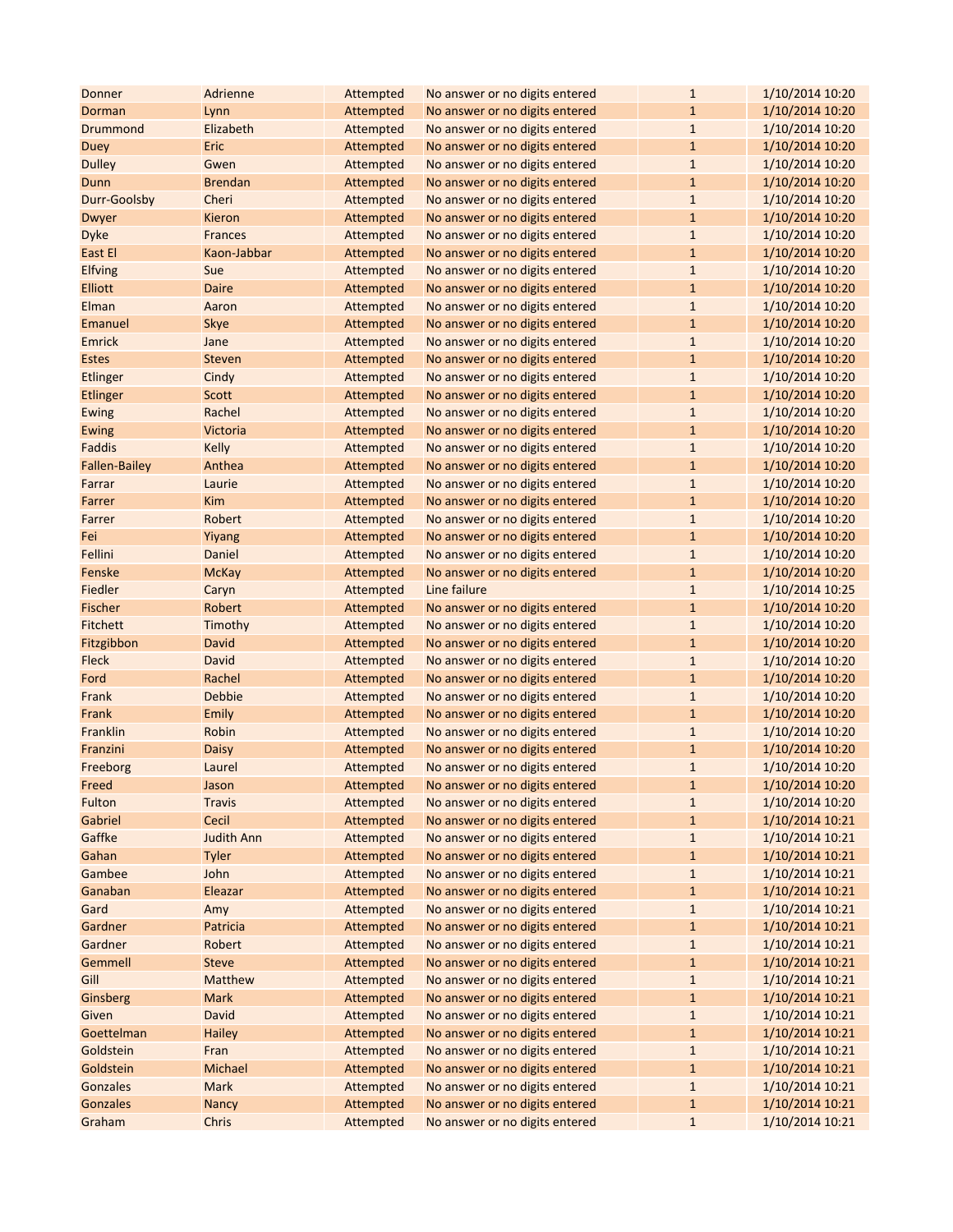| Donner               | Adrienne          | Attempted | No answer or no digits entered | $\mathbf{1}$ | 1/10/2014 10:20 |
|----------------------|-------------------|-----------|--------------------------------|--------------|-----------------|
| Dorman               | Lynn              | Attempted | No answer or no digits entered | $\mathbf{1}$ | 1/10/2014 10:20 |
| Drummond             | Elizabeth         | Attempted | No answer or no digits entered | $\mathbf{1}$ | 1/10/2014 10:20 |
| <b>Duey</b>          | Eric              | Attempted | No answer or no digits entered | $\mathbf{1}$ | 1/10/2014 10:20 |
| <b>Dulley</b>        | Gwen              | Attempted | No answer or no digits entered | $\mathbf{1}$ | 1/10/2014 10:20 |
| Dunn                 | <b>Brendan</b>    | Attempted | No answer or no digits entered | $\mathbf{1}$ | 1/10/2014 10:20 |
| Durr-Goolsby         | Cheri             | Attempted | No answer or no digits entered | $\mathbf{1}$ | 1/10/2014 10:20 |
| Dwyer                | Kieron            | Attempted | No answer or no digits entered | $\mathbf{1}$ | 1/10/2014 10:20 |
| Dyke                 | <b>Frances</b>    | Attempted | No answer or no digits entered | $\mathbf{1}$ | 1/10/2014 10:20 |
| East El              | Kaon-Jabbar       | Attempted | No answer or no digits entered | $\mathbf{1}$ | 1/10/2014 10:20 |
| Elfving              | Sue               | Attempted | No answer or no digits entered | $\mathbf{1}$ | 1/10/2014 10:20 |
| <b>Elliott</b>       | <b>Daire</b>      | Attempted | No answer or no digits entered | $\mathbf{1}$ | 1/10/2014 10:20 |
| Elman                | Aaron             | Attempted | No answer or no digits entered | $\mathbf{1}$ | 1/10/2014 10:20 |
| Emanuel              | <b>Skye</b>       | Attempted | No answer or no digits entered | $\mathbf{1}$ | 1/10/2014 10:20 |
| Emrick               | Jane              | Attempted | No answer or no digits entered | $\mathbf{1}$ | 1/10/2014 10:20 |
| <b>Estes</b>         | <b>Steven</b>     | Attempted | No answer or no digits entered | $\mathbf{1}$ | 1/10/2014 10:20 |
| Etlinger             | Cindy             | Attempted | No answer or no digits entered | $\mathbf{1}$ | 1/10/2014 10:20 |
| Etlinger             | Scott             | Attempted | No answer or no digits entered | $\mathbf{1}$ | 1/10/2014 10:20 |
| Ewing                | Rachel            | Attempted | No answer or no digits entered | $\mathbf{1}$ | 1/10/2014 10:20 |
| Ewing                | Victoria          | Attempted | No answer or no digits entered | $\mathbf{1}$ | 1/10/2014 10:20 |
| Faddis               | <b>Kelly</b>      | Attempted | No answer or no digits entered | $\mathbf{1}$ | 1/10/2014 10:20 |
| <b>Fallen-Bailey</b> | Anthea            | Attempted | No answer or no digits entered | $\mathbf{1}$ | 1/10/2014 10:20 |
| Farrar               | Laurie            | Attempted | No answer or no digits entered | $\mathbf{1}$ | 1/10/2014 10:20 |
| Farrer               | <b>Kim</b>        | Attempted | No answer or no digits entered | $\mathbf{1}$ | 1/10/2014 10:20 |
| Farrer               | Robert            | Attempted | No answer or no digits entered | $\mathbf{1}$ | 1/10/2014 10:20 |
| Fei                  | Yiyang            | Attempted | No answer or no digits entered | $\mathbf{1}$ | 1/10/2014 10:20 |
| Fellini              | Daniel            | Attempted | No answer or no digits entered | $\mathbf{1}$ | 1/10/2014 10:20 |
| Fenske               | <b>McKay</b>      | Attempted | No answer or no digits entered | $\mathbf{1}$ | 1/10/2014 10:20 |
| Fiedler              | Caryn             | Attempted | Line failure                   | $\mathbf{1}$ | 1/10/2014 10:25 |
| Fischer              | Robert            | Attempted | No answer or no digits entered | $\mathbf{1}$ | 1/10/2014 10:20 |
| Fitchett             | Timothy           | Attempted | No answer or no digits entered | $\mathbf{1}$ | 1/10/2014 10:20 |
| Fitzgibbon           | <b>David</b>      | Attempted | No answer or no digits entered | $\mathbf{1}$ | 1/10/2014 10:20 |
| <b>Fleck</b>         | <b>David</b>      | Attempted | No answer or no digits entered | $\mathbf{1}$ | 1/10/2014 10:20 |
| Ford                 | Rachel            | Attempted | No answer or no digits entered | $\mathbf{1}$ | 1/10/2014 10:20 |
| Frank                | <b>Debbie</b>     | Attempted | No answer or no digits entered | $\mathbf{1}$ | 1/10/2014 10:20 |
| Frank                | Emily             | Attempted | No answer or no digits entered | $\mathbf{1}$ | 1/10/2014 10:20 |
| Franklin             | Robin             | Attempted | No answer or no digits entered | $\mathbf{1}$ | 1/10/2014 10:20 |
| Franzini             | <b>Daisy</b>      | Attempted | No answer or no digits entered | $\mathbf{1}$ | 1/10/2014 10:20 |
| Freeborg             | Laurel            | Attempted | No answer or no digits entered | $\mathbf{1}$ | 1/10/2014 10:20 |
| Freed                | Jason             | Attempted | No answer or no digits entered | $\mathbf{1}$ | 1/10/2014 10:20 |
| Fulton               | Travis            | Attempted | No answer or no digits entered | $\mathbf{1}$ | 1/10/2014 10:20 |
| Gabriel              | Cecil             | Attempted | No answer or no digits entered | $\mathbf{1}$ | 1/10/2014 10:21 |
| Gaffke               | <b>Judith Ann</b> | Attempted | No answer or no digits entered | $\mathbf{1}$ | 1/10/2014 10:21 |
| Gahan                | <b>Tyler</b>      | Attempted | No answer or no digits entered | $\mathbf{1}$ | 1/10/2014 10:21 |
| Gambee               | John              | Attempted | No answer or no digits entered | $\mathbf{1}$ | 1/10/2014 10:21 |
| Ganaban              | Eleazar           | Attempted | No answer or no digits entered | $\mathbf{1}$ | 1/10/2014 10:21 |
| Gard                 | Amy               | Attempted | No answer or no digits entered | $\mathbf{1}$ | 1/10/2014 10:21 |
| Gardner              | Patricia          | Attempted | No answer or no digits entered | $\mathbf{1}$ | 1/10/2014 10:21 |
| Gardner              | Robert            | Attempted | No answer or no digits entered | $\mathbf{1}$ | 1/10/2014 10:21 |
| Gemmell              | <b>Steve</b>      | Attempted | No answer or no digits entered | $\mathbf{1}$ | 1/10/2014 10:21 |
| Gill                 | Matthew           | Attempted | No answer or no digits entered | $\mathbf 1$  | 1/10/2014 10:21 |
| Ginsberg             | <b>Mark</b>       | Attempted | No answer or no digits entered | $\mathbf{1}$ | 1/10/2014 10:21 |
| Given                | <b>David</b>      | Attempted | No answer or no digits entered | $\mathbf{1}$ | 1/10/2014 10:21 |
| Goettelman           | <b>Hailey</b>     | Attempted | No answer or no digits entered | $\mathbf{1}$ | 1/10/2014 10:21 |
| Goldstein            | Fran              | Attempted | No answer or no digits entered | $\mathbf{1}$ | 1/10/2014 10:21 |
| Goldstein            | Michael           | Attempted | No answer or no digits entered | $\mathbf{1}$ | 1/10/2014 10:21 |
| Gonzales             | <b>Mark</b>       | Attempted | No answer or no digits entered | $\mathbf{1}$ | 1/10/2014 10:21 |
| Gonzales             | <b>Nancy</b>      | Attempted | No answer or no digits entered | $\mathbf{1}$ | 1/10/2014 10:21 |
| Graham               | Chris             | Attempted | No answer or no digits entered | $\mathbf 1$  | 1/10/2014 10:21 |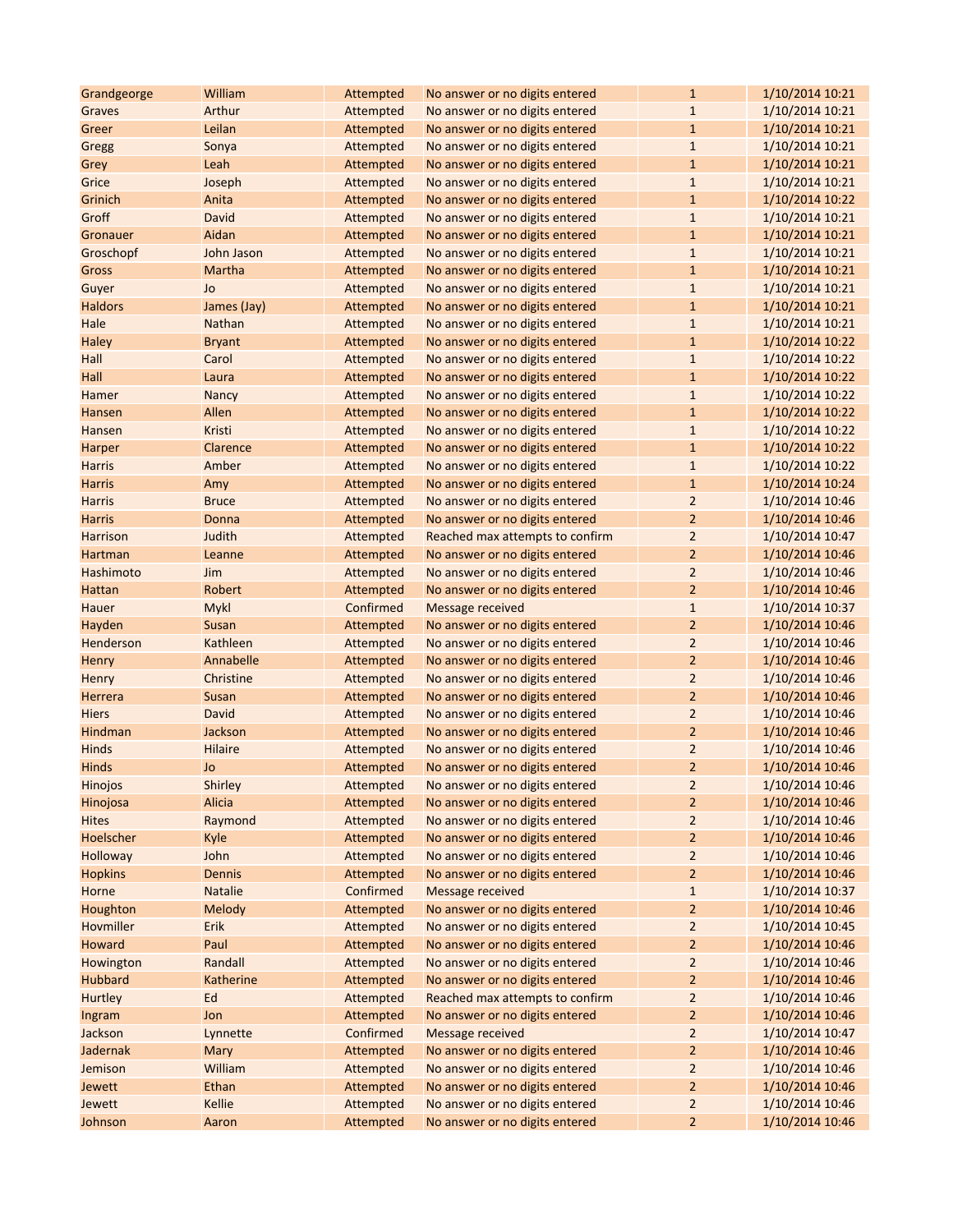| Grandgeorge          | William                | Attempted | No answer or no digits entered  | $\mathbf{1}$            | 1/10/2014 10:21                    |
|----------------------|------------------------|-----------|---------------------------------|-------------------------|------------------------------------|
| Graves               | Arthur                 | Attempted | No answer or no digits entered  | $\mathbf{1}$            | 1/10/2014 10:21                    |
| Greer                | Leilan                 | Attempted | No answer or no digits entered  | $\mathbf{1}$            | 1/10/2014 10:21                    |
| Gregg                | Sonya                  | Attempted | No answer or no digits entered  | $\mathbf{1}$            | 1/10/2014 10:21                    |
| Grey                 | Leah                   | Attempted | No answer or no digits entered  | $\mathbf{1}$            | 1/10/2014 10:21                    |
| Grice                | Joseph                 | Attempted | No answer or no digits entered  | $1\,$                   | 1/10/2014 10:21                    |
| Grinich              | Anita                  | Attempted | No answer or no digits entered  | $\mathbf{1}$            | 1/10/2014 10:22                    |
| Groff                | David                  | Attempted | No answer or no digits entered  | $\mathbf 1$             | 1/10/2014 10:21                    |
| Gronauer             | Aidan                  | Attempted | No answer or no digits entered  | $\mathbf{1}$            | 1/10/2014 10:21                    |
| Groschopf            | John Jason             | Attempted | No answer or no digits entered  | $\mathbf{1}$            | 1/10/2014 10:21                    |
| Gross                | Martha                 | Attempted | No answer or no digits entered  | $\mathbf{1}$            | 1/10/2014 10:21                    |
| Guyer                | Jo                     | Attempted | No answer or no digits entered  | $\mathbf{1}$            | 1/10/2014 10:21                    |
| <b>Haldors</b>       | James (Jay)            | Attempted | No answer or no digits entered  | $\mathbf{1}$            | 1/10/2014 10:21                    |
| Hale                 | <b>Nathan</b>          | Attempted | No answer or no digits entered  | $\mathbf{1}$            | 1/10/2014 10:21                    |
| Haley                | <b>Bryant</b>          | Attempted | No answer or no digits entered  | $\mathbf{1}$            | 1/10/2014 10:22                    |
| Hall                 | Carol                  | Attempted | No answer or no digits entered  | $\mathbf{1}$            | 1/10/2014 10:22                    |
| Hall                 | Laura                  | Attempted | No answer or no digits entered  | $\mathbf{1}$            | 1/10/2014 10:22                    |
| Hamer                | <b>Nancy</b>           | Attempted | No answer or no digits entered  | $\mathbf{1}$            | 1/10/2014 10:22                    |
| Hansen               | Allen                  | Attempted | No answer or no digits entered  | $\mathbf{1}$            | 1/10/2014 10:22                    |
| Hansen               | Kristi                 | Attempted | No answer or no digits entered  | $\mathbf{1}$            | 1/10/2014 10:22                    |
| Harper               | Clarence               | Attempted | No answer or no digits entered  | $\mathbf{1}$            | 1/10/2014 10:22                    |
| <b>Harris</b>        | Amber                  | Attempted | No answer or no digits entered  | $\mathbf{1}$            | 1/10/2014 10:22                    |
| <b>Harris</b>        | Amy                    | Attempted | No answer or no digits entered  | $\mathbf{1}$            | 1/10/2014 10:24                    |
| <b>Harris</b>        | <b>Bruce</b>           | Attempted | No answer or no digits entered  | $\overline{2}$          | 1/10/2014 10:46                    |
| <b>Harris</b>        | Donna                  | Attempted | No answer or no digits entered  | $\overline{2}$          | 1/10/2014 10:46                    |
| Harrison             | Judith                 | Attempted | Reached max attempts to confirm | $\overline{2}$          | 1/10/2014 10:47                    |
| Hartman              | Leanne                 | Attempted | No answer or no digits entered  | $\overline{2}$          | 1/10/2014 10:46                    |
| Hashimoto            | Jim                    | Attempted | No answer or no digits entered  | $\overline{2}$          | 1/10/2014 10:46                    |
| Hattan               | Robert                 | Attempted | No answer or no digits entered  | $\overline{2}$          | 1/10/2014 10:46                    |
| Hauer                | <b>Mykl</b>            | Confirmed | Message received                | $1\,$                   | 1/10/2014 10:37                    |
| Hayden               | Susan                  | Attempted | No answer or no digits entered  | $\overline{2}$          | 1/10/2014 10:46                    |
| Henderson            | Kathleen               | Attempted | No answer or no digits entered  | $\overline{2}$          | 1/10/2014 10:46                    |
| Henry                | Annabelle              | Attempted | No answer or no digits entered  | $\overline{2}$          | 1/10/2014 10:46                    |
| Henry                | Christine              | Attempted | No answer or no digits entered  | $\overline{2}$          | 1/10/2014 10:46                    |
| Herrera              | <b>Susan</b>           | Attempted | No answer or no digits entered  | $\overline{2}$          | 1/10/2014 10:46                    |
| <b>Hiers</b>         | David                  | Attempted | No answer or no digits entered  | $\overline{2}$          | 1/10/2014 10:46                    |
| Hindman              | Jackson                | Attempted | No answer or no digits entered  | $\overline{2}$          | 1/10/2014 10:46                    |
| Hinds                | <b>Hilaire</b>         | Attempted | No answer or no digits entered  | $\overline{2}$          | 1/10/2014 10:46                    |
| Hinds                | Jo                     | Attempted | No answer or no digits entered  | $\overline{2}$          | 1/10/2014 10:46                    |
| Hinojos              | Shirley                | Attempted | No answer or no digits entered  | $\overline{\mathbf{c}}$ | 1/10/2014 10:46                    |
| Hinojosa             | Alicia                 | Attempted | No answer or no digits entered  | $\overline{2}$          | 1/10/2014 10:46                    |
| <b>Hites</b>         | Raymond                | Attempted | No answer or no digits entered  | $\overline{2}$          | 1/10/2014 10:46                    |
| Hoelscher            | Kyle                   | Attempted | No answer or no digits entered  | $\overline{2}$          | 1/10/2014 10:46                    |
| Holloway             | John                   | Attempted | No answer or no digits entered  | $\overline{2}$          | 1/10/2014 10:46                    |
| <b>Hopkins</b>       | Dennis                 | Attempted | No answer or no digits entered  | $\overline{2}$          | 1/10/2014 10:46                    |
| Horne                | <b>Natalie</b>         | Confirmed | <b>Message received</b>         | $1\,$                   | 1/10/2014 10:37                    |
| Houghton             | <b>Melody</b>          | Attempted | No answer or no digits entered  | $\overline{2}$          | 1/10/2014 10:46                    |
| Hovmiller            | Erik                   | Attempted | No answer or no digits entered  | $\overline{2}$          | 1/10/2014 10:45                    |
| Howard               | Paul                   | Attempted | No answer or no digits entered  | $\overline{2}$          | 1/10/2014 10:46                    |
|                      |                        | Attempted |                                 | $\overline{2}$          |                                    |
| Howington<br>Hubbard | Randall                | Attempted | No answer or no digits entered  | $\overline{2}$          | 1/10/2014 10:46<br>1/10/2014 10:46 |
|                      | <b>Katherine</b><br>Ed |           | No answer or no digits entered  |                         |                                    |
| Hurtley              |                        | Attempted | Reached max attempts to confirm | $\overline{2}$          | 1/10/2014 10:46                    |
| Ingram               | Jon                    | Attempted | No answer or no digits entered  | $\overline{2}$          | 1/10/2014 10:46                    |
| Jackson              | Lynnette               | Confirmed | Message received                | $\overline{2}$          | 1/10/2014 10:47                    |
| Jadernak             | Mary                   | Attempted | No answer or no digits entered  | $\overline{2}$          | 1/10/2014 10:46                    |
| Jemison              | William                | Attempted | No answer or no digits entered  | $\overline{2}$          | 1/10/2014 10:46                    |
| Jewett               | Ethan                  | Attempted | No answer or no digits entered  | $\overline{2}$          | 1/10/2014 10:46                    |
| Jewett               | Kellie                 | Attempted | No answer or no digits entered  | $\overline{2}$          | 1/10/2014 10:46                    |
| Johnson              | Aaron                  | Attempted | No answer or no digits entered  | $\overline{2}$          | 1/10/2014 10:46                    |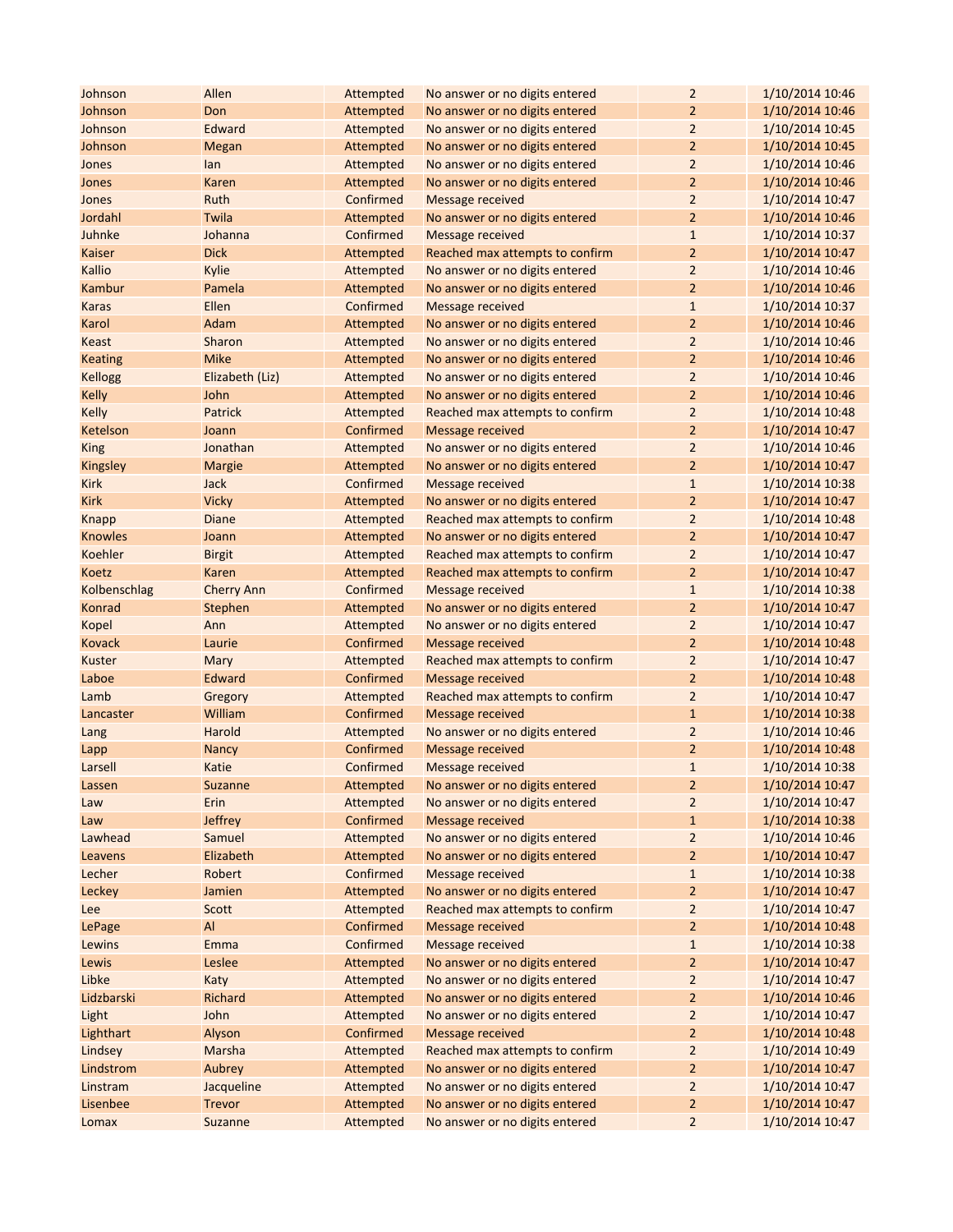| Johnson           | Allen                    | Attempted              | No answer or no digits entered                            | $\mathbf 2$             | 1/10/2014 10:46                    |
|-------------------|--------------------------|------------------------|-----------------------------------------------------------|-------------------------|------------------------------------|
| Johnson           | Don                      | Attempted              | No answer or no digits entered                            | $\overline{2}$          | 1/10/2014 10:46                    |
| Johnson           | Edward                   | Attempted              | No answer or no digits entered                            | $\overline{2}$          | 1/10/2014 10:45                    |
| Johnson           | <b>Megan</b>             | Attempted              | No answer or no digits entered                            | $\overline{2}$          | 1/10/2014 10:45                    |
| Jones             | lan                      | Attempted              | No answer or no digits entered                            | $\overline{2}$          | 1/10/2014 10:46                    |
| Jones             | Karen                    | Attempted              | No answer or no digits entered                            | $\overline{2}$          | 1/10/2014 10:46                    |
| Jones             | Ruth                     | Confirmed              | Message received                                          | $\overline{2}$          | 1/10/2014 10:47                    |
| Jordahl           | Twila                    | Attempted              | No answer or no digits entered                            | $\overline{2}$          | 1/10/2014 10:46                    |
| Juhnke            | Johanna                  | Confirmed              | <b>Message received</b>                                   | $\mathbf{1}$            | 1/10/2014 10:37                    |
| Kaiser            | <b>Dick</b>              | Attempted              | Reached max attempts to confirm                           | $\overline{2}$          | 1/10/2014 10:47                    |
| Kallio            | Kylie                    | Attempted              | No answer or no digits entered                            | $\overline{2}$          | 1/10/2014 10:46                    |
| Kambur            | Pamela                   | Attempted              | No answer or no digits entered                            | $\overline{2}$          | 1/10/2014 10:46                    |
| Karas             | Ellen                    | Confirmed              | Message received                                          | $\mathbf{1}$            | 1/10/2014 10:37                    |
| Karol             | Adam                     | Attempted              | No answer or no digits entered                            | $\overline{2}$          | 1/10/2014 10:46                    |
| Keast             | Sharon                   | Attempted              | No answer or no digits entered                            | $\overline{2}$          | 1/10/2014 10:46                    |
| <b>Keating</b>    | <b>Mike</b>              | Attempted              | No answer or no digits entered                            | $\overline{2}$          | 1/10/2014 10:46                    |
| <b>Kellogg</b>    | Elizabeth (Liz)          | Attempted              | No answer or no digits entered                            | $\overline{2}$          | 1/10/2014 10:46                    |
| Kelly             | John                     | Attempted              | No answer or no digits entered                            | $\overline{2}$          | 1/10/2014 10:46                    |
| Kelly             | Patrick                  | Attempted              | Reached max attempts to confirm                           | $\overline{2}$          | 1/10/2014 10:48                    |
| Ketelson          | Joann                    | Confirmed              | <b>Message received</b>                                   | $\overline{2}$          | 1/10/2014 10:47                    |
| <b>King</b>       | Jonathan                 | Attempted              | No answer or no digits entered                            | $\overline{2}$          | 1/10/2014 10:46                    |
| Kingsley          | <b>Margie</b>            | Attempted              | No answer or no digits entered                            | $\overline{2}$          | 1/10/2014 10:47                    |
| <b>Kirk</b>       | Jack                     | Confirmed              | Message received                                          | $\mathbf{1}$            | 1/10/2014 10:38                    |
| <b>Kirk</b>       | <b>Vicky</b>             | Attempted              | No answer or no digits entered                            | $\overline{2}$          | 1/10/2014 10:47                    |
| Knapp             | <b>Diane</b>             | Attempted              | Reached max attempts to confirm                           | $\overline{2}$          | 1/10/2014 10:48                    |
| <b>Knowles</b>    | Joann                    | Attempted              | No answer or no digits entered                            | $\overline{2}$          | 1/10/2014 10:47                    |
| Koehler           | <b>Birgit</b>            | Attempted              | Reached max attempts to confirm                           | $\overline{2}$          | 1/10/2014 10:47                    |
| Koetz             | Karen                    | Attempted              | Reached max attempts to confirm                           | $\overline{2}$          | 1/10/2014 10:47                    |
| Kolbenschlag      | <b>Cherry Ann</b>        | Confirmed              | Message received                                          | $\mathbf{1}$            | 1/10/2014 10:38                    |
| Konrad            | Stephen                  | Attempted              | No answer or no digits entered                            | $\overline{2}$          | 1/10/2014 10:47                    |
| Kopel             | Ann                      | Attempted              | No answer or no digits entered                            | $\overline{2}$          | 1/10/2014 10:47                    |
| Kovack            | Laurie                   | Confirmed              | <b>Message received</b>                                   | $\overline{2}$          | 1/10/2014 10:48                    |
| Kuster            | Mary                     | Attempted              | Reached max attempts to confirm                           | $\overline{2}$          | 1/10/2014 10:47                    |
| Laboe             | Edward                   | Confirmed              | <b>Message received</b>                                   | $\overline{2}$          | 1/10/2014 10:48                    |
| Lamb              | Gregory                  | Attempted              | Reached max attempts to confirm                           | $\overline{2}$          | 1/10/2014 10:47                    |
| Lancaster         | William                  | Confirmed              | Message received                                          | $\mathbf{1}$            | 1/10/2014 10:38                    |
| Lang              | Harold                   | Attempted              | No answer or no digits entered                            | $\overline{2}$          | 1/10/2014 10:46                    |
| Lapp              | <b>Nancy</b>             | Confirmed              | <b>Message received</b>                                   | $\overline{2}$          | 1/10/2014 10:48                    |
| Larsell           | Katie                    | Confirmed              | <b>Message received</b>                                   | $\mathbf 1$             | 1/10/2014 10:38                    |
| Lassen            | Suzanne                  | Attempted              | No answer or no digits entered                            | $\overline{2}$          | 1/10/2014 10:47                    |
|                   | Erin                     | Attempted              | No answer or no digits entered                            | $\overline{2}$          | 1/10/2014 10:47                    |
| Law               |                          | Confirmed              | <b>Message received</b>                                   | $\mathbf{1}$            |                                    |
| Law<br>Lawhead    | <b>Jeffrey</b><br>Samuel | Attempted              | No answer or no digits entered                            | $\overline{2}$          | 1/10/2014 10:38<br>1/10/2014 10:46 |
|                   | Elizabeth                |                        |                                                           | $\overline{2}$          |                                    |
| Leavens<br>Lecher | Robert                   | Attempted<br>Confirmed | No answer or no digits entered<br><b>Message received</b> | $\mathbf{1}$            | 1/10/2014 10:47<br>1/10/2014 10:38 |
|                   | Jamien                   | Attempted              | No answer or no digits entered                            | $\overline{2}$          | 1/10/2014 10:47                    |
| Leckey            | Scott                    | Attempted              | Reached max attempts to confirm                           | $\overline{2}$          | 1/10/2014 10:47                    |
| Lee               | Al                       | Confirmed              | <b>Message received</b>                                   | $\overline{2}$          | 1/10/2014 10:48                    |
| LePage            |                          |                        |                                                           |                         |                                    |
| Lewins<br>Lewis   | Emma<br>Leslee           | Confirmed<br>Attempted | <b>Message received</b><br>No answer or no digits entered | $1\,$<br>$\overline{2}$ | 1/10/2014 10:38<br>1/10/2014 10:47 |
| Libke             |                          | Attempted              | No answer or no digits entered                            | $\overline{2}$          | 1/10/2014 10:47                    |
| Lidzbarski        | Katy<br>Richard          |                        | No answer or no digits entered                            | $\overline{2}$          |                                    |
|                   | John                     | Attempted              |                                                           |                         | 1/10/2014 10:46                    |
| Light             |                          | Attempted              | No answer or no digits entered                            | $\overline{2}$          | 1/10/2014 10:47                    |
| Lighthart         | Alyson                   | Confirmed              | <b>Message received</b>                                   | $\overline{2}$          | 1/10/2014 10:48                    |
| Lindsey           | Marsha                   | Attempted              | Reached max attempts to confirm                           | $\overline{c}$          | 1/10/2014 10:49                    |
| Lindstrom         | Aubrey                   | Attempted              | No answer or no digits entered                            | $\overline{2}$          | 1/10/2014 10:47                    |
| Linstram          | Jacqueline               | Attempted              | No answer or no digits entered                            | $\overline{2}$          | 1/10/2014 10:47                    |
| Lisenbee          | <b>Trevor</b>            | Attempted              | No answer or no digits entered                            | $\overline{2}$          | 1/10/2014 10:47                    |
| Lomax             | <b>Suzanne</b>           | Attempted              | No answer or no digits entered                            | $\overline{2}$          | 1/10/2014 10:47                    |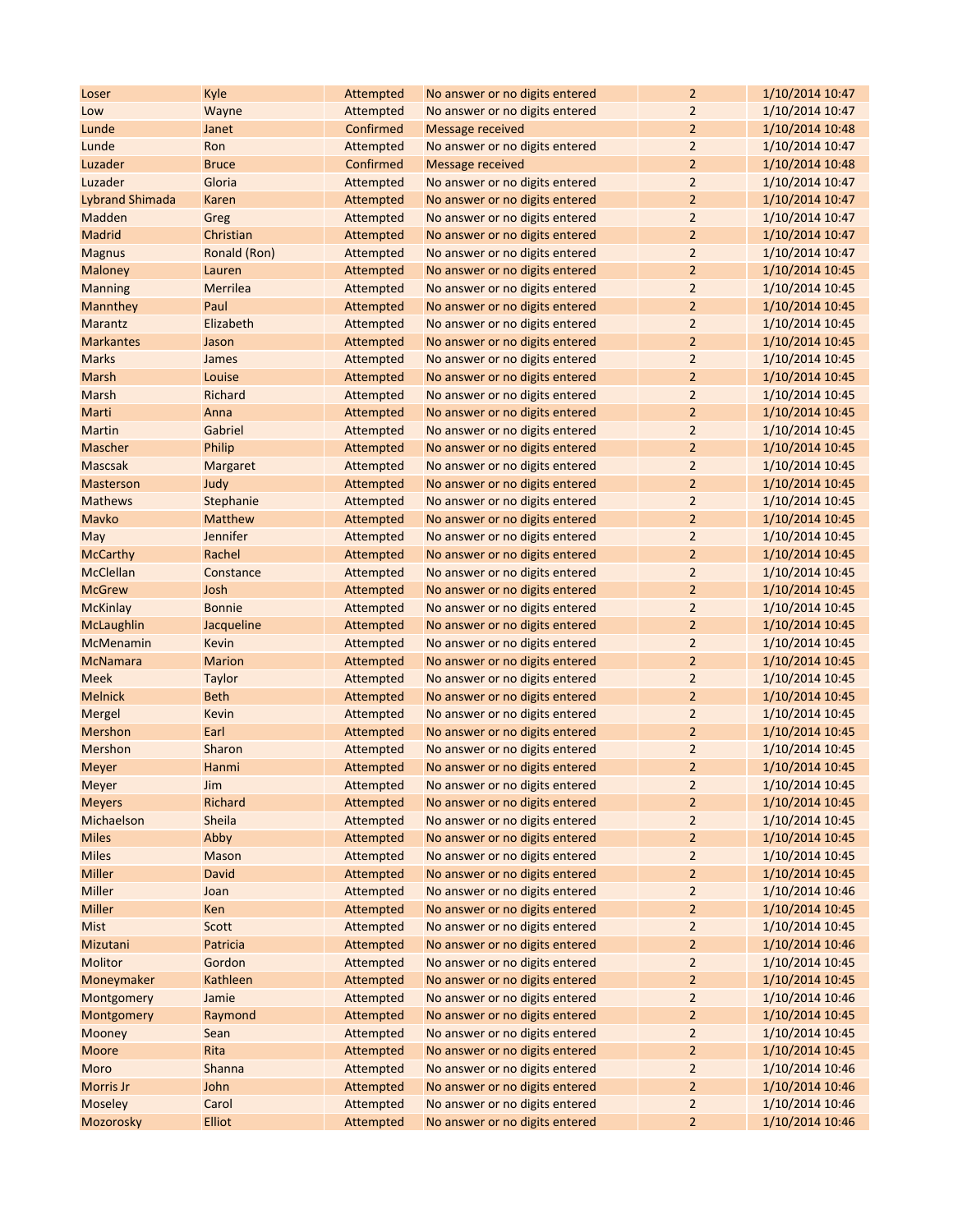| Loser                  | Kyle            | Attempted | No answer or no digits entered | $\overline{2}$          | 1/10/2014 10:47 |
|------------------------|-----------------|-----------|--------------------------------|-------------------------|-----------------|
| Low                    | Wayne           | Attempted | No answer or no digits entered | $\overline{2}$          | 1/10/2014 10:47 |
| Lunde                  | Janet           | Confirmed | <b>Message received</b>        | $\overline{2}$          | 1/10/2014 10:48 |
| Lunde                  | Ron             | Attempted | No answer or no digits entered | $\overline{2}$          | 1/10/2014 10:47 |
| Luzader                | <b>Bruce</b>    | Confirmed | <b>Message received</b>        | $\overline{2}$          | 1/10/2014 10:48 |
| Luzader                | Gloria          | Attempted | No answer or no digits entered | $\overline{2}$          | 1/10/2014 10:47 |
| <b>Lybrand Shimada</b> | Karen           | Attempted | No answer or no digits entered | $\overline{2}$          | 1/10/2014 10:47 |
| Madden                 | Greg            | Attempted | No answer or no digits entered | $\overline{2}$          | 1/10/2014 10:47 |
| Madrid                 | Christian       | Attempted | No answer or no digits entered | $\overline{2}$          | 1/10/2014 10:47 |
| <b>Magnus</b>          | Ronald (Ron)    | Attempted | No answer or no digits entered | $\overline{2}$          | 1/10/2014 10:47 |
| Maloney                | Lauren          | Attempted | No answer or no digits entered | $\overline{2}$          | 1/10/2014 10:45 |
| <b>Manning</b>         | Merrilea        | Attempted | No answer or no digits entered | $\overline{2}$          | 1/10/2014 10:45 |
| Mannthey               | Paul            | Attempted | No answer or no digits entered | $\overline{2}$          | 1/10/2014 10:45 |
| Marantz                | Elizabeth       | Attempted | No answer or no digits entered | $\overline{2}$          | 1/10/2014 10:45 |
| <b>Markantes</b>       | Jason           | Attempted | No answer or no digits entered | $\overline{2}$          | 1/10/2014 10:45 |
| <b>Marks</b>           | James           | Attempted | No answer or no digits entered | 2                       | 1/10/2014 10:45 |
| Marsh                  | Louise          | Attempted | No answer or no digits entered | 2                       | 1/10/2014 10:45 |
| Marsh                  | <b>Richard</b>  | Attempted | No answer or no digits entered | $\overline{2}$          | 1/10/2014 10:45 |
| Marti                  | Anna            | Attempted | No answer or no digits entered | $\overline{2}$          | 1/10/2014 10:45 |
| Martin                 | Gabriel         | Attempted | No answer or no digits entered | $\overline{2}$          | 1/10/2014 10:45 |
| Mascher                | Philip          | Attempted | No answer or no digits entered | $\overline{2}$          | 1/10/2014 10:45 |
| <b>Mascsak</b>         | <b>Margaret</b> | Attempted | No answer or no digits entered | $\overline{2}$          | 1/10/2014 10:45 |
| <b>Masterson</b>       | Judy            | Attempted | No answer or no digits entered | $\overline{2}$          | 1/10/2014 10:45 |
| <b>Mathews</b>         | Stephanie       | Attempted | No answer or no digits entered | 2                       | 1/10/2014 10:45 |
| Mavko                  | <b>Matthew</b>  | Attempted | No answer or no digits entered | $\overline{2}$          | 1/10/2014 10:45 |
| May                    | Jennifer        | Attempted | No answer or no digits entered | $\overline{2}$          | 1/10/2014 10:45 |
| <b>McCarthy</b>        | Rachel          | Attempted | No answer or no digits entered | 2                       | 1/10/2014 10:45 |
| McClellan              | Constance       | Attempted | No answer or no digits entered | $\overline{2}$          | 1/10/2014 10:45 |
| <b>McGrew</b>          | Josh            | Attempted | No answer or no digits entered | $\overline{2}$          | 1/10/2014 10:45 |
| <b>McKinlay</b>        | <b>Bonnie</b>   | Attempted | No answer or no digits entered | $\overline{2}$          | 1/10/2014 10:45 |
| McLaughlin             | Jacqueline      | Attempted | No answer or no digits entered | $\overline{2}$          | 1/10/2014 10:45 |
| McMenamin              | Kevin           | Attempted | No answer or no digits entered | $\overline{2}$          | 1/10/2014 10:45 |
| <b>McNamara</b>        | <b>Marion</b>   | Attempted | No answer or no digits entered | $\overline{2}$          | 1/10/2014 10:45 |
| <b>Meek</b>            | <b>Taylor</b>   | Attempted | No answer or no digits entered | $\overline{2}$          | 1/10/2014 10:45 |
| <b>Melnick</b>         | <b>Beth</b>     | Attempted | No answer or no digits entered | $\overline{2}$          | 1/10/2014 10:45 |
| Mergel                 | Kevin           | Attempted | No answer or no digits entered | $\overline{2}$          | 1/10/2014 10:45 |
| Mershon                | Earl            | Attempted | No answer or no digits entered | 2                       | 1/10/2014 10:45 |
| Mershon                | Sharon          | Attempted | No answer or no digits entered | $\overline{2}$          | 1/10/2014 10:45 |
| Meyer                  | Hanmi           | Attempted | No answer or no digits entered | $\overline{2}$          | 1/10/2014 10:45 |
| Meyer                  | Jim             | Attempted | No answer or no digits entered | $\overline{\mathbf{c}}$ | 1/10/2014 10:45 |
| <b>Meyers</b>          | Richard         | Attempted | No answer or no digits entered | $\overline{2}$          | 1/10/2014 10:45 |
| Michaelson             | Sheila          | Attempted | No answer or no digits entered | 2                       | 1/10/2014 10:45 |
| <b>Miles</b>           | Abby            | Attempted | No answer or no digits entered | 2                       | 1/10/2014 10:45 |
| <b>Miles</b>           | Mason           | Attempted | No answer or no digits entered | $\overline{2}$          | 1/10/2014 10:45 |
| Miller                 | David           | Attempted | No answer or no digits entered | $\overline{2}$          | 1/10/2014 10:45 |
| Miller                 | Joan            | Attempted | No answer or no digits entered | 2                       | 1/10/2014 10:46 |
| Miller                 | Ken             | Attempted | No answer or no digits entered | 2                       | 1/10/2014 10:45 |
| <b>Mist</b>            | Scott           | Attempted | No answer or no digits entered | $\overline{2}$          | 1/10/2014 10:45 |
| Mizutani               | Patricia        | Attempted | No answer or no digits entered | 2                       | 1/10/2014 10:46 |
| Molitor                | Gordon          | Attempted | No answer or no digits entered | $\overline{2}$          | 1/10/2014 10:45 |
| Moneymaker             | Kathleen        | Attempted | No answer or no digits entered | $\overline{2}$          | 1/10/2014 10:45 |
| Montgomery             | Jamie           | Attempted | No answer or no digits entered | 2                       | 1/10/2014 10:46 |
| Montgomery             | Raymond         | Attempted | No answer or no digits entered | $\overline{2}$          | 1/10/2014 10:45 |
| Mooney                 | Sean            | Attempted | No answer or no digits entered | $\overline{2}$          | 1/10/2014 10:45 |
| Moore                  | Rita            | Attempted | No answer or no digits entered | $\overline{2}$          | 1/10/2014 10:45 |
| Moro                   | Shanna          | Attempted | No answer or no digits entered | 2                       | 1/10/2014 10:46 |
| Morris Jr              | John            | Attempted | No answer or no digits entered | 2                       | 1/10/2014 10:46 |
| Moseley                | Carol           | Attempted | No answer or no digits entered | $\overline{2}$          | 1/10/2014 10:46 |
| Mozorosky              | <b>Elliot</b>   | Attempted | No answer or no digits entered | $\overline{2}$          | 1/10/2014 10:46 |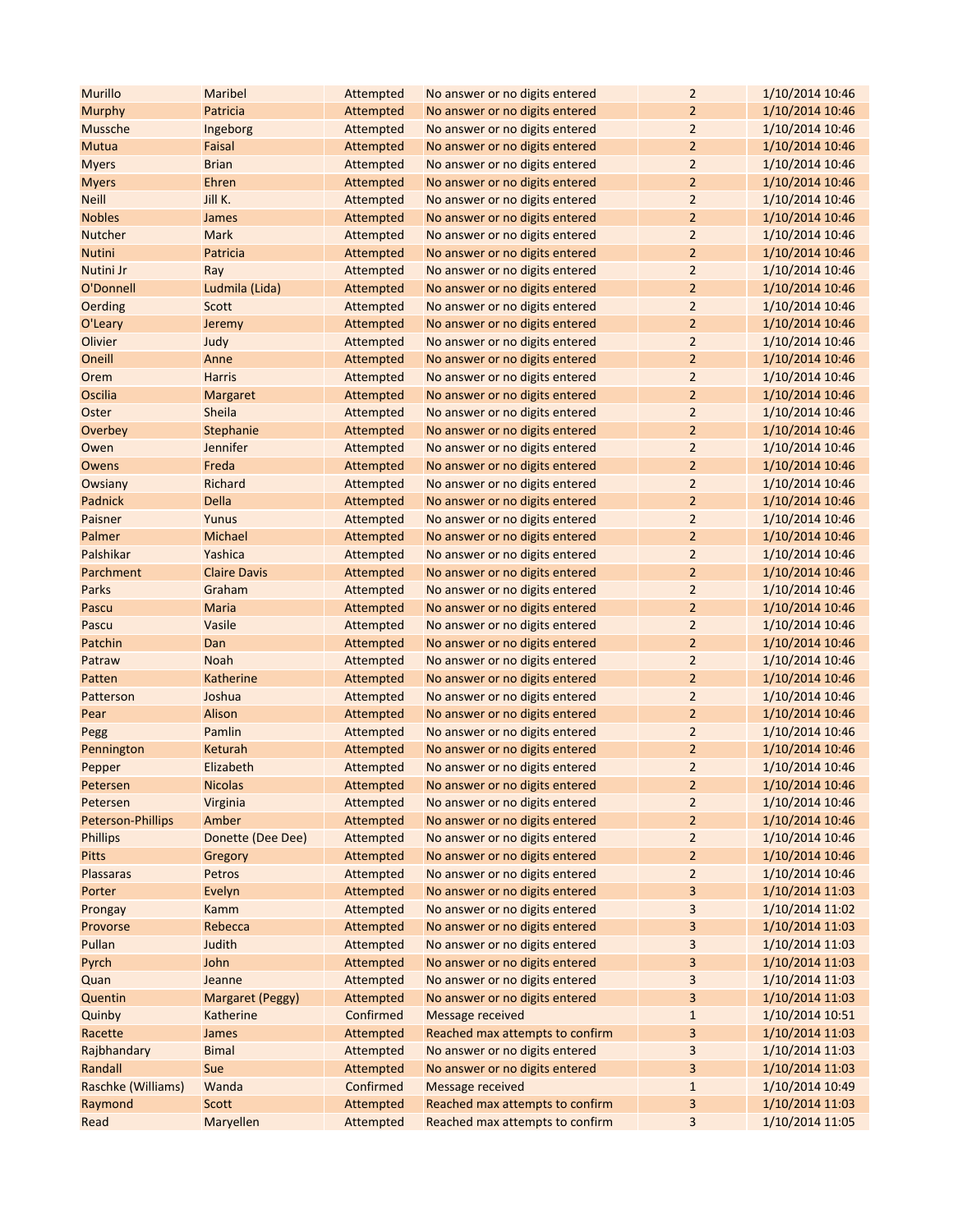| <b>Murillo</b>     | Maribel                 | Attempted | No answer or no digits entered  | $\overline{2}$          | 1/10/2014 10:46 |
|--------------------|-------------------------|-----------|---------------------------------|-------------------------|-----------------|
| Murphy             | Patricia                | Attempted | No answer or no digits entered  | 2                       | 1/10/2014 10:46 |
| Mussche            | Ingeborg                | Attempted | No answer or no digits entered  | $\overline{2}$          | 1/10/2014 10:46 |
| Mutua              | Faisal                  | Attempted | No answer or no digits entered  | $\overline{2}$          | 1/10/2014 10:46 |
| <b>Myers</b>       | <b>Brian</b>            | Attempted | No answer or no digits entered  | $\overline{2}$          | 1/10/2014 10:46 |
| <b>Myers</b>       | Ehren                   | Attempted | No answer or no digits entered  | $\overline{2}$          | 1/10/2014 10:46 |
| <b>Neill</b>       | Jill K.                 | Attempted | No answer or no digits entered  | 2                       | 1/10/2014 10:46 |
| <b>Nobles</b>      | James                   | Attempted | No answer or no digits entered  | $\overline{2}$          | 1/10/2014 10:46 |
| Nutcher            | <b>Mark</b>             | Attempted | No answer or no digits entered  | $\overline{2}$          | 1/10/2014 10:46 |
| <b>Nutini</b>      | Patricia                | Attempted | No answer or no digits entered  | $\overline{2}$          | 1/10/2014 10:46 |
| Nutini Jr          | Ray                     | Attempted | No answer or no digits entered  | $\overline{2}$          | 1/10/2014 10:46 |
| O'Donnell          | Ludmila (Lida)          | Attempted | No answer or no digits entered  | $\overline{2}$          | 1/10/2014 10:46 |
| Oerding            | Scott                   | Attempted | No answer or no digits entered  | $\overline{2}$          | 1/10/2014 10:46 |
| O'Leary            | Jeremy                  | Attempted | No answer or no digits entered  | $\overline{2}$          | 1/10/2014 10:46 |
| Olivier            | Judy                    | Attempted | No answer or no digits entered  | 2                       | 1/10/2014 10:46 |
| Oneill             | Anne                    | Attempted | No answer or no digits entered  | $\overline{2}$          | 1/10/2014 10:46 |
| Orem               | <b>Harris</b>           | Attempted | No answer or no digits entered  | 2                       | 1/10/2014 10:46 |
| Oscilia            | Margaret                | Attempted | No answer or no digits entered  | $\overline{2}$          | 1/10/2014 10:46 |
| Oster              | Sheila                  | Attempted | No answer or no digits entered  | $\overline{2}$          | 1/10/2014 10:46 |
| Overbey            | Stephanie               | Attempted | No answer or no digits entered  | $\overline{2}$          | 1/10/2014 10:46 |
| Owen               | Jennifer                | Attempted | No answer or no digits entered  | $\overline{\mathbf{c}}$ | 1/10/2014 10:46 |
| Owens              | Freda                   | Attempted | No answer or no digits entered  | $\overline{2}$          | 1/10/2014 10:46 |
| Owsiany            | <b>Richard</b>          | Attempted | No answer or no digits entered  | $\overline{2}$          | 1/10/2014 10:46 |
| Padnick            | <b>Della</b>            | Attempted | No answer or no digits entered  | $\overline{2}$          | 1/10/2014 10:46 |
| Paisner            | Yunus                   | Attempted | No answer or no digits entered  | $\overline{2}$          | 1/10/2014 10:46 |
| Palmer             | Michael                 | Attempted | No answer or no digits entered  | $\overline{2}$          | 1/10/2014 10:46 |
| Palshikar          | Yashica                 | Attempted | No answer or no digits entered  | 2                       | 1/10/2014 10:46 |
| Parchment          | <b>Claire Davis</b>     | Attempted | No answer or no digits entered  | $\overline{2}$          | 1/10/2014 10:46 |
| Parks              | Graham                  | Attempted | No answer or no digits entered  | $\overline{2}$          | 1/10/2014 10:46 |
| Pascu              | Maria                   | Attempted | No answer or no digits entered  | $\overline{2}$          | 1/10/2014 10:46 |
| Pascu              | Vasile                  | Attempted | No answer or no digits entered  | $\overline{2}$          | 1/10/2014 10:46 |
| Patchin            | Dan                     | Attempted | No answer or no digits entered  | $\overline{2}$          | 1/10/2014 10:46 |
| Patraw             | <b>Noah</b>             | Attempted | No answer or no digits entered  | $\overline{2}$          | 1/10/2014 10:46 |
| Patten             | Katherine               | Attempted | No answer or no digits entered  | $\overline{2}$          | 1/10/2014 10:46 |
| Patterson          | Joshua                  | Attempted | No answer or no digits entered  | $\overline{2}$          | 1/10/2014 10:46 |
| Pear               | Alison                  | Attempted | No answer or no digits entered  | $\overline{2}$          | 1/10/2014 10:46 |
| Pegg               | Pamlin                  | Attempted | No answer or no digits entered  | 2                       | 1/10/2014 10:46 |
| Pennington         | Keturah                 | Attempted | No answer or no digits entered  | 2                       | 1/10/2014 10:46 |
| Pepper             | Elizabeth               | Attempted | No answer or no digits entered  | $\overline{2}$          | 1/10/2014 10:46 |
| Petersen           | <b>Nicolas</b>          | Attempted | No answer or no digits entered  | $\overline{\mathbf{c}}$ | 1/10/2014 10:46 |
| Petersen           | Virginia                | Attempted | No answer or no digits entered  | $\overline{2}$          | 1/10/2014 10:46 |
| Peterson-Phillips  | Amber                   | Attempted | No answer or no digits entered  | $\overline{2}$          | 1/10/2014 10:46 |
| <b>Phillips</b>    | Donette (Dee Dee)       | Attempted | No answer or no digits entered  | 2                       | 1/10/2014 10:46 |
| <b>Pitts</b>       | Gregory                 | Attempted | No answer or no digits entered  | 2                       | 1/10/2014 10:46 |
| Plassaras          | Petros                  | Attempted | No answer or no digits entered  | 2                       | 1/10/2014 10:46 |
| Porter             | Evelyn                  | Attempted | No answer or no digits entered  | 3                       | 1/10/2014 11:03 |
| Prongay            | Kamm                    | Attempted | No answer or no digits entered  | 3                       | 1/10/2014 11:02 |
| Provorse           | Rebecca                 | Attempted | No answer or no digits entered  | 3                       | 1/10/2014 11:03 |
| Pullan             | Judith                  | Attempted | No answer or no digits entered  | 3                       | 1/10/2014 11:03 |
| Pyrch              | John                    | Attempted | No answer or no digits entered  | 3                       | 1/10/2014 11:03 |
| Quan               | Jeanne                  | Attempted | No answer or no digits entered  | 3                       | 1/10/2014 11:03 |
| Quentin            | <b>Margaret (Peggy)</b> | Attempted | No answer or no digits entered  | 3                       | 1/10/2014 11:03 |
| Quinby             | Katherine               | Confirmed | Message received                | $\mathbf{1}$            | 1/10/2014 10:51 |
| Racette            | James                   | Attempted | Reached max attempts to confirm | 3                       | 1/10/2014 11:03 |
| Rajbhandary        | <b>Bimal</b>            | Attempted | No answer or no digits entered  | 3                       | 1/10/2014 11:03 |
| Randall            | Sue                     | Attempted | No answer or no digits entered  | 3                       | 1/10/2014 11:03 |
| Raschke (Williams) | Wanda                   | Confirmed | Message received                | $\mathbf{1}$            | 1/10/2014 10:49 |
| Raymond            | <b>Scott</b>            | Attempted | Reached max attempts to confirm | 3                       | 1/10/2014 11:03 |
| Read               | Maryellen               | Attempted | Reached max attempts to confirm | 3                       | 1/10/2014 11:05 |
|                    |                         |           |                                 |                         |                 |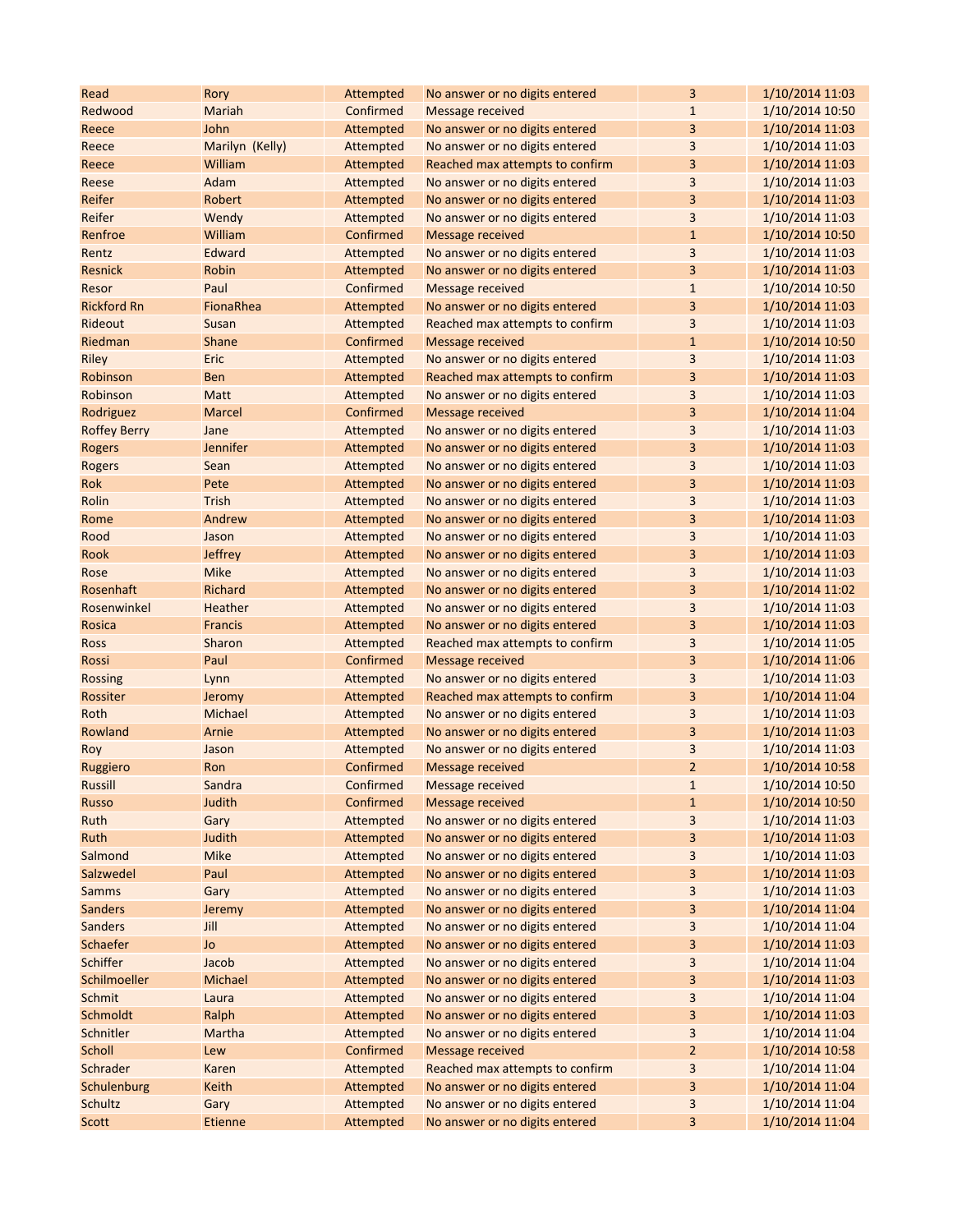| Read                | Rory            | Attempted | No answer or no digits entered  | 3              | 1/10/2014 11:03 |
|---------------------|-----------------|-----------|---------------------------------|----------------|-----------------|
| Redwood             | Mariah          | Confirmed | Message received                | $\mathbf{1}$   | 1/10/2014 10:50 |
| Reece               | John            | Attempted | No answer or no digits entered  | 3              | 1/10/2014 11:03 |
| Reece               | Marilyn (Kelly) | Attempted | No answer or no digits entered  | 3              | 1/10/2014 11:03 |
| Reece               | William         | Attempted | Reached max attempts to confirm | 3              | 1/10/2014 11:03 |
| Reese               | Adam            | Attempted | No answer or no digits entered  | 3              | 1/10/2014 11:03 |
| Reifer              | Robert          | Attempted | No answer or no digits entered  | 3              | 1/10/2014 11:03 |
| Reifer              | Wendy           | Attempted | No answer or no digits entered  | $\overline{3}$ | 1/10/2014 11:03 |
| Renfroe             | William         | Confirmed | <b>Message received</b>         | $1\,$          | 1/10/2014 10:50 |
| Rentz               | Edward          | Attempted | No answer or no digits entered  | 3              | 1/10/2014 11:03 |
| Resnick             | Robin           | Attempted | No answer or no digits entered  | 3              | 1/10/2014 11:03 |
| Resor               | Paul            | Confirmed | <b>Message received</b>         | $1\,$          | 1/10/2014 10:50 |
| <b>Rickford Rn</b>  | FionaRhea       | Attempted | No answer or no digits entered  | 3              | 1/10/2014 11:03 |
| Rideout             | Susan           | Attempted | Reached max attempts to confirm | 3              | 1/10/2014 11:03 |
| Riedman             | <b>Shane</b>    | Confirmed | <b>Message received</b>         | $\mathbf{1}$   | 1/10/2014 10:50 |
| Riley               | Eric            | Attempted | No answer or no digits entered  | 3              | 1/10/2014 11:03 |
| Robinson            | <b>Ben</b>      | Attempted | Reached max attempts to confirm | 3              | 1/10/2014 11:03 |
| Robinson            | Matt            | Attempted | No answer or no digits entered  | 3              | 1/10/2014 11:03 |
| Rodriguez           | <b>Marcel</b>   | Confirmed | <b>Message received</b>         | 3              | 1/10/2014 11:04 |
| <b>Roffey Berry</b> | Jane            | Attempted | No answer or no digits entered  | 3              | 1/10/2014 11:03 |
| <b>Rogers</b>       | Jennifer        | Attempted | No answer or no digits entered  | 3              | 1/10/2014 11:03 |
| Rogers              | Sean            | Attempted | No answer or no digits entered  | 3              | 1/10/2014 11:03 |
| Rok                 | Pete            | Attempted | No answer or no digits entered  | 3              | 1/10/2014 11:03 |
| Rolin               | <b>Trish</b>    | Attempted | No answer or no digits entered  | 3              | 1/10/2014 11:03 |
| Rome                | Andrew          | Attempted | No answer or no digits entered  | 3              | 1/10/2014 11:03 |
| Rood                | Jason           | Attempted | No answer or no digits entered  | 3              | 1/10/2014 11:03 |
| Rook                | <b>Jeffrey</b>  | Attempted | No answer or no digits entered  | 3              | 1/10/2014 11:03 |
| Rose                | Mike            | Attempted | No answer or no digits entered  | 3              | 1/10/2014 11:03 |
| Rosenhaft           | Richard         | Attempted | No answer or no digits entered  | 3              | 1/10/2014 11:02 |
| Rosenwinkel         | Heather         | Attempted | No answer or no digits entered  | 3              | 1/10/2014 11:03 |
| Rosica              | <b>Francis</b>  | Attempted | No answer or no digits entered  | 3              | 1/10/2014 11:03 |
| <b>Ross</b>         | Sharon          | Attempted | Reached max attempts to confirm | 3              | 1/10/2014 11:05 |
| Rossi               | Paul            | Confirmed | <b>Message received</b>         | 3              | 1/10/2014 11:06 |
| <b>Rossing</b>      | Lynn            | Attempted | No answer or no digits entered  | 3              | 1/10/2014 11:03 |
| Rossiter            | Jeromy          | Attempted | Reached max attempts to confirm | 3              | 1/10/2014 11:04 |
| Roth                | Michael         | Attempted | No answer or no digits entered  | 3              | 1/10/2014 11:03 |
| Rowland             | Arnie           | Attempted | No answer or no digits entered  | 3              | 1/10/2014 11:03 |
| Roy                 | Jason           | Attempted | No answer or no digits entered  | 3              | 1/10/2014 11:03 |
| Ruggiero            | Ron             | Confirmed | Message received                | $\overline{2}$ | 1/10/2014 10:58 |
| Russill             | Sandra          | Confirmed | <b>Message received</b>         | $\mathbf 1$    | 1/10/2014 10:50 |
| Russo               | Judith          | Confirmed | <b>Message received</b>         | $1\,$          | 1/10/2014 10:50 |
| Ruth                | Gary            | Attempted | No answer or no digits entered  | 3              | 1/10/2014 11:03 |
| Ruth                | Judith          | Attempted | No answer or no digits entered  | 3              | 1/10/2014 11:03 |
| Salmond             | <b>Mike</b>     | Attempted | No answer or no digits entered  | 3              | 1/10/2014 11:03 |
| Salzwedel           | Paul            | Attempted | No answer or no digits entered  | 3              | 1/10/2014 11:03 |
| <b>Samms</b>        | Gary            | Attempted | No answer or no digits entered  | 3              | 1/10/2014 11:03 |
| <b>Sanders</b>      | Jeremy          | Attempted | No answer or no digits entered  | 3              | 1/10/2014 11:04 |
| <b>Sanders</b>      | Jill            | Attempted | No answer or no digits entered  | $\mathsf 3$    | 1/10/2014 11:04 |
| Schaefer            | Jo              | Attempted | No answer or no digits entered  | 3              | 1/10/2014 11:03 |
| Schiffer            | Jacob           | Attempted | No answer or no digits entered  | $\mathsf 3$    | 1/10/2014 11:04 |
| Schilmoeller        | Michael         | Attempted | No answer or no digits entered  | 3              | 1/10/2014 11:03 |
| Schmit              | Laura           | Attempted | No answer or no digits entered  | 3              | 1/10/2014 11:04 |
| Schmoldt            | Ralph           | Attempted | No answer or no digits entered  | 3              | 1/10/2014 11:03 |
| Schnitler           | Martha          | Attempted | No answer or no digits entered  | 3              | 1/10/2014 11:04 |
| Scholl              | Lew             | Confirmed | <b>Message received</b>         | $\overline{2}$ | 1/10/2014 10:58 |
| Schrader            | Karen           | Attempted | Reached max attempts to confirm | 3              | 1/10/2014 11:04 |
| Schulenburg         | Keith           | Attempted | No answer or no digits entered  | 3              | 1/10/2014 11:04 |
| Schultz             | Gary            | Attempted | No answer or no digits entered  | 3              | 1/10/2014 11:04 |
| Scott               | <b>Etienne</b>  | Attempted | No answer or no digits entered  | 3              | 1/10/2014 11:04 |
|                     |                 |           |                                 |                |                 |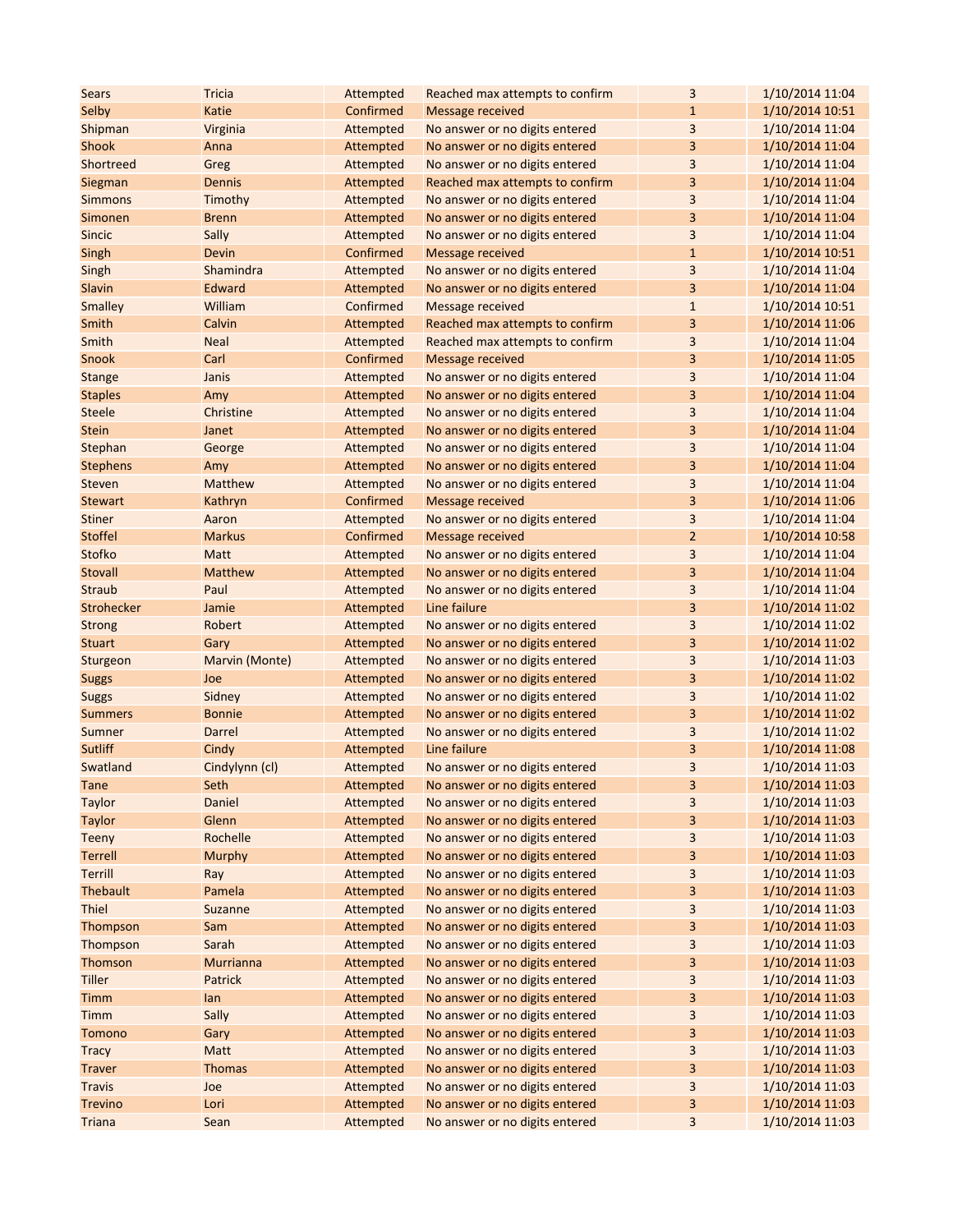| <b>Sears</b>    | <b>Tricia</b>    | Attempted | Reached max attempts to confirm | 3              | 1/10/2014 11:04 |
|-----------------|------------------|-----------|---------------------------------|----------------|-----------------|
| Selby           | Katie            | Confirmed | <b>Message received</b>         | $\mathbf{1}$   | 1/10/2014 10:51 |
| Shipman         | Virginia         | Attempted | No answer or no digits entered  | 3              | 1/10/2014 11:04 |
| Shook           | Anna             | Attempted | No answer or no digits entered  | 3              | 1/10/2014 11:04 |
| Shortreed       | Greg             | Attempted | No answer or no digits entered  | 3              | 1/10/2014 11:04 |
| Siegman         | <b>Dennis</b>    | Attempted | Reached max attempts to confirm | 3              | 1/10/2014 11:04 |
| <b>Simmons</b>  | Timothy          | Attempted | No answer or no digits entered  | 3              | 1/10/2014 11:04 |
| Simonen         | <b>Brenn</b>     | Attempted | No answer or no digits entered  | 3              | 1/10/2014 11:04 |
| <b>Sincic</b>   | Sally            | Attempted | No answer or no digits entered  | $\overline{3}$ | 1/10/2014 11:04 |
| Singh           | Devin            | Confirmed | <b>Message received</b>         | $\mathbf{1}$   | 1/10/2014 10:51 |
| Singh           | Shamindra        | Attempted | No answer or no digits entered  | 3              | 1/10/2014 11:04 |
| Slavin          | Edward           | Attempted | No answer or no digits entered  | 3              | 1/10/2014 11:04 |
| Smalley         | William          | Confirmed | Message received                | $\mathbf{1}$   | 1/10/2014 10:51 |
| Smith           | Calvin           | Attempted | Reached max attempts to confirm | 3              | 1/10/2014 11:06 |
| Smith           | <b>Neal</b>      | Attempted | Reached max attempts to confirm | 3              | 1/10/2014 11:04 |
| Snook           | Carl             | Confirmed | Message received                | 3              | 1/10/2014 11:05 |
| <b>Stange</b>   | Janis            | Attempted | No answer or no digits entered  | 3              | 1/10/2014 11:04 |
| <b>Staples</b>  | Amy              | Attempted | No answer or no digits entered  | 3              | 1/10/2014 11:04 |
| <b>Steele</b>   | Christine        | Attempted | No answer or no digits entered  | 3              | 1/10/2014 11:04 |
| <b>Stein</b>    | Janet            | Attempted | No answer or no digits entered  | 3              | 1/10/2014 11:04 |
| Stephan         | George           | Attempted | No answer or no digits entered  | 3              | 1/10/2014 11:04 |
| <b>Stephens</b> | Amy              | Attempted | No answer or no digits entered  | 3              | 1/10/2014 11:04 |
| Steven          | <b>Matthew</b>   | Attempted | No answer or no digits entered  | 3              | 1/10/2014 11:04 |
| <b>Stewart</b>  | Kathryn          | Confirmed | <b>Message received</b>         | 3              | 1/10/2014 11:06 |
| <b>Stiner</b>   | Aaron            | Attempted | No answer or no digits entered  | 3              | 1/10/2014 11:04 |
| <b>Stoffel</b>  | <b>Markus</b>    | Confirmed | Message received                | $\overline{2}$ | 1/10/2014 10:58 |
| Stofko          | Matt             | Attempted | No answer or no digits entered  | 3              | 1/10/2014 11:04 |
| <b>Stovall</b>  | Matthew          | Attempted | No answer or no digits entered  | 3              | 1/10/2014 11:04 |
| <b>Straub</b>   | Paul             | Attempted | No answer or no digits entered  | 3              | 1/10/2014 11:04 |
| Strohecker      | Jamie            | Attempted | Line failure                    | 3              | 1/10/2014 11:02 |
| <b>Strong</b>   | Robert           | Attempted | No answer or no digits entered  | 3              | 1/10/2014 11:02 |
| <b>Stuart</b>   | Gary             | Attempted | No answer or no digits entered  | 3              | 1/10/2014 11:02 |
| Sturgeon        | Marvin (Monte)   | Attempted | No answer or no digits entered  | 3              | 1/10/2014 11:03 |
| <b>Suggs</b>    | Joe              | Attempted | No answer or no digits entered  | 3              | 1/10/2014 11:02 |
| <b>Suggs</b>    | Sidney           | Attempted | No answer or no digits entered  | 3              | 1/10/2014 11:02 |
| <b>Summers</b>  | <b>Bonnie</b>    | Attempted | No answer or no digits entered  | 3              | 1/10/2014 11:02 |
| Sumner          | Darrel           | Attempted | No answer or no digits entered  | 3              | 1/10/2014 11:02 |
| Sutliff         | Cindy            | Attempted | Line failure                    | 3              | 1/10/2014 11:08 |
| Swatland        | Cindylynn (cl)   | Attempted | No answer or no digits entered  | 3              | 1/10/2014 11:03 |
| Tane            | Seth             | Attempted | No answer or no digits entered  | 3              | 1/10/2014 11:03 |
| <b>Taylor</b>   | Daniel           | Attempted | No answer or no digits entered  | 3              | 1/10/2014 11:03 |
| Taylor          | Glenn            | Attempted | No answer or no digits entered  | 3              | 1/10/2014 11:03 |
| Teeny           | Rochelle         | Attempted | No answer or no digits entered  | 3              | 1/10/2014 11:03 |
| <b>Terrell</b>  | <b>Murphy</b>    | Attempted | No answer or no digits entered  | 3              | 1/10/2014 11:03 |
| Terrill         | Ray              | Attempted | No answer or no digits entered  | 3              | 1/10/2014 11:03 |
| <b>Thebault</b> | Pamela           | Attempted | No answer or no digits entered  | 3              | 1/10/2014 11:03 |
| Thiel           | Suzanne          | Attempted | No answer or no digits entered  | 3              | 1/10/2014 11:03 |
| Thompson        | Sam              | Attempted | No answer or no digits entered  | 3              | 1/10/2014 11:03 |
| Thompson        | Sarah            | Attempted | No answer or no digits entered  | $\mathsf 3$    | 1/10/2014 11:03 |
| Thomson         | <b>Murrianna</b> | Attempted | No answer or no digits entered  | 3              | 1/10/2014 11:03 |
| <b>Tiller</b>   | Patrick          | Attempted | No answer or no digits entered  | 3              | 1/10/2014 11:03 |
| Timm            | lan              | Attempted | No answer or no digits entered  | 3              | 1/10/2014 11:03 |
| Timm            | Sally            | Attempted | No answer or no digits entered  | 3              | 1/10/2014 11:03 |
| Tomono          | Gary             | Attempted | No answer or no digits entered  | 3              | 1/10/2014 11:03 |
| <b>Tracy</b>    | Matt             | Attempted | No answer or no digits entered  | 3              | 1/10/2014 11:03 |
| <b>Traver</b>   | <b>Thomas</b>    | Attempted | No answer or no digits entered  | 3              | 1/10/2014 11:03 |
| <b>Travis</b>   | Joe              | Attempted | No answer or no digits entered  | 3              | 1/10/2014 11:03 |
| <b>Trevino</b>  | Lori             | Attempted | No answer or no digits entered  | 3              | 1/10/2014 11:03 |
| <b>Triana</b>   | Sean             | Attempted | No answer or no digits entered  | $\mathsf 3$    | 1/10/2014 11:03 |